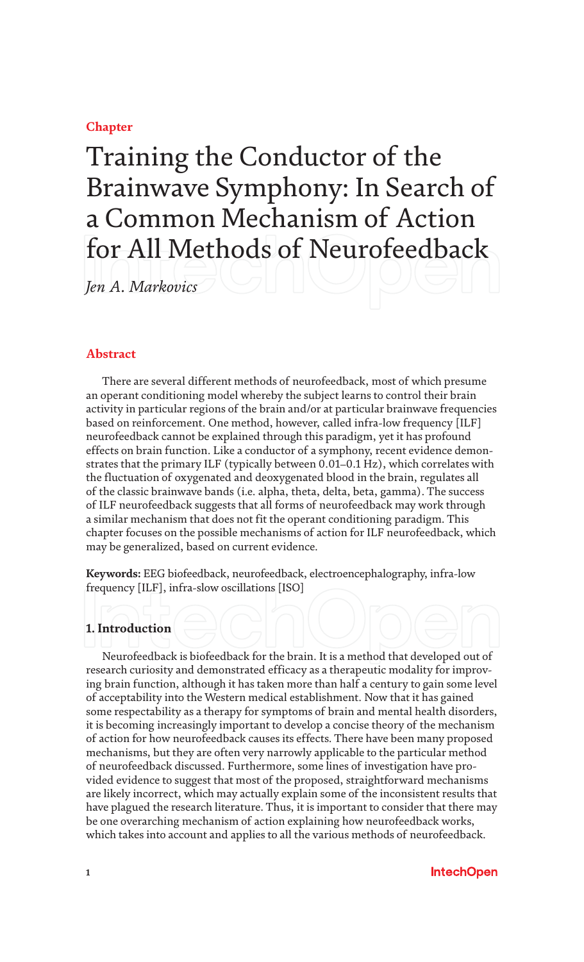# **Chapter**

# Training the Conductor of the Brainwave Symphony: In Search of a Common Mechanism of Action for All Methods of Neurofeedback

*Jen A. Markovics*

# **Abstract**

There are several different methods of neurofeedback, most of which presume an operant conditioning model whereby the subject learns to control their brain activity in particular regions of the brain and/or at particular brainwave frequencies based on reinforcement. One method, however, called infra-low frequency [ILF] neurofeedback cannot be explained through this paradigm, yet it has profound effects on brain function. Like a conductor of a symphony, recent evidence demonstrates that the primary ILF (typically between 0.01–0.1 Hz), which correlates with the fluctuation of oxygenated and deoxygenated blood in the brain, regulates all of the classic brainwave bands (i.e. alpha, theta, delta, beta, gamma). The success of ILF neurofeedback suggests that all forms of neurofeedback may work through a similar mechanism that does not fit the operant conditioning paradigm. This chapter focuses on the possible mechanisms of action for ILF neurofeedback, which may be generalized, based on current evidence.

**Keywords:** EEG biofeedback, neurofeedback, electroencephalography, infra-low frequency [ILF], infra-slow oscillations [ISO]

# **1. Introduction**

Neurofeedback is biofeedback for the brain. It is a method that developed out of research curiosity and demonstrated efficacy as a therapeutic modality for improving brain function, although it has taken more than half a century to gain some level of acceptability into the Western medical establishment. Now that it has gained some respectability as a therapy for symptoms of brain and mental health disorders, it is becoming increasingly important to develop a concise theory of the mechanism of action for how neurofeedback causes its effects. There have been many proposed mechanisms, but they are often very narrowly applicable to the particular method of neurofeedback discussed. Furthermore, some lines of investigation have provided evidence to suggest that most of the proposed, straightforward mechanisms are likely incorrect, which may actually explain some of the inconsistent results that have plagued the research literature. Thus, it is important to consider that there may be one overarching mechanism of action explaining how neurofeedback works, which takes into account and applies to all the various methods of neurofeedback.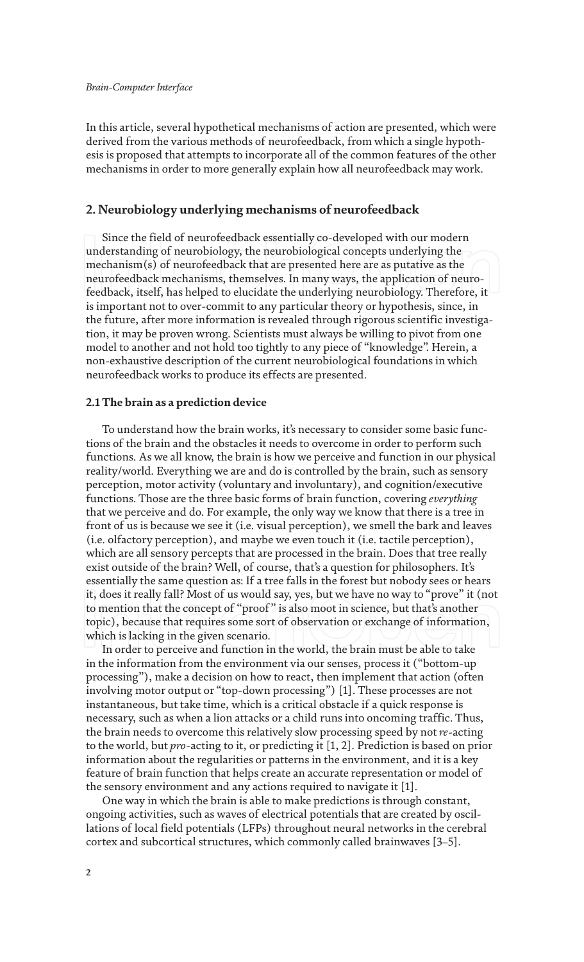#### *Brain-Computer Interface*

In this article, several hypothetical mechanisms of action are presented, which were derived from the various methods of neurofeedback, from which a single hypothesis is proposed that attempts to incorporate all of the common features of the other mechanisms in order to more generally explain how all neurofeedback may work.

#### **2. Neurobiology underlying mechanisms of neurofeedback**

Since the field of neurofeedback essentially co-developed with our modern understanding of neurobiology, the neurobiological concepts underlying the mechanism(s) of neurofeedback that are presented here are as putative as the neurofeedback mechanisms, themselves. In many ways, the application of neurofeedback, itself, has helped to elucidate the underlying neurobiology. Therefore, it is important not to over-commit to any particular theory or hypothesis, since, in the future, after more information is revealed through rigorous scientific investigation, it may be proven wrong. Scientists must always be willing to pivot from one model to another and not hold too tightly to any piece of "knowledge". Herein, a non-exhaustive description of the current neurobiological foundations in which neurofeedback works to produce its effects are presented.

#### **2.1 The brain as a prediction device**

To understand how the brain works, it's necessary to consider some basic functions of the brain and the obstacles it needs to overcome in order to perform such functions. As we all know, the brain is how we perceive and function in our physical reality/world. Everything we are and do is controlled by the brain, such as sensory perception, motor activity (voluntary and involuntary), and cognition/executive functions. Those are the three basic forms of brain function, covering *everything* that we perceive and do. For example, the only way we know that there is a tree in front of us is because we see it (i.e. visual perception), we smell the bark and leaves (i.e. olfactory perception), and maybe we even touch it (i.e. tactile perception), which are all sensory percepts that are processed in the brain. Does that tree really exist outside of the brain? Well, of course, that's a question for philosophers. It's essentially the same question as: If a tree falls in the forest but nobody sees or hears it, does it really fall? Most of us would say, yes, but we have no way to "prove" it (not to mention that the concept of "proof" is also moot in science, but that's another topic), because that requires some sort of observation or exchange of information, which is lacking in the given scenario.

In order to perceive and function in the world, the brain must be able to take in the information from the environment via our senses, process it ("bottom-up processing"), make a decision on how to react, then implement that action (often involving motor output or "top-down processing") [1]. These processes are not instantaneous, but take time, which is a critical obstacle if a quick response is necessary, such as when a lion attacks or a child runs into oncoming traffic. Thus, the brain needs to overcome this relatively slow processing speed by not *re*-acting to the world, but *pro*-acting to it, or predicting it [1, 2]. Prediction is based on prior information about the regularities or patterns in the environment, and it is a key feature of brain function that helps create an accurate representation or model of the sensory environment and any actions required to navigate it [1].

One way in which the brain is able to make predictions is through constant, ongoing activities, such as waves of electrical potentials that are created by oscillations of local field potentials (LFPs) throughout neural networks in the cerebral cortex and subcortical structures, which commonly called brainwaves [3–5].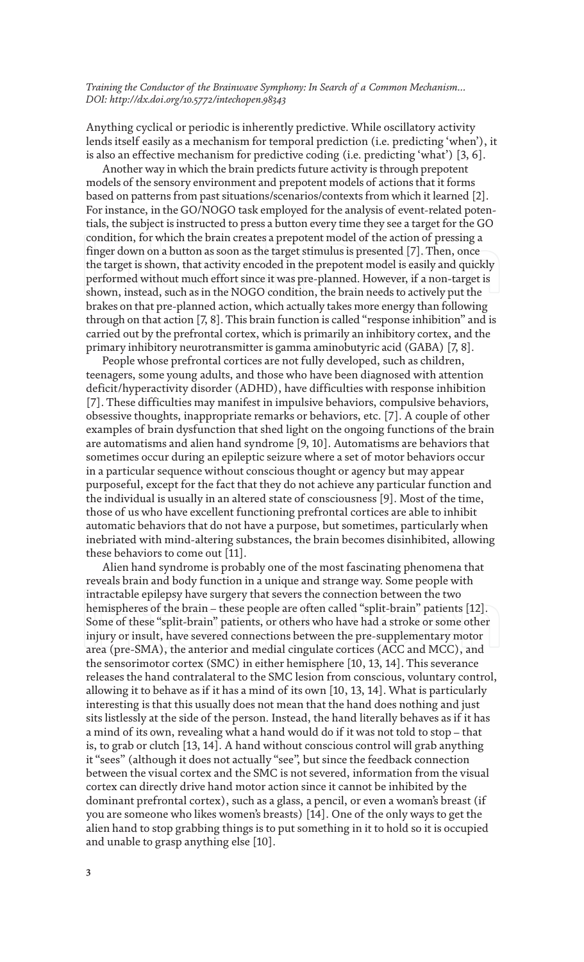Anything cyclical or periodic is inherently predictive. While oscillatory activity lends itself easily as a mechanism for temporal prediction (i.e. predicting 'when'), it is also an effective mechanism for predictive coding (i.e. predicting 'what') [3, 6].

Another way in which the brain predicts future activity is through prepotent models of the sensory environment and prepotent models of actions that it forms based on patterns from past situations/scenarios/contexts from which it learned [2]. For instance, in the GO/NOGO task employed for the analysis of event-related potentials, the subject is instructed to press a button every time they see a target for the GO condition, for which the brain creates a prepotent model of the action of pressing a finger down on a button as soon as the target stimulus is presented [7]. Then, once the target is shown, that activity encoded in the prepotent model is easily and quickly performed without much effort since it was pre-planned. However, if a non-target is shown, instead, such as in the NOGO condition, the brain needs to actively put the brakes on that pre-planned action, which actually takes more energy than following through on that action [7, 8]. This brain function is called "response inhibition" and is carried out by the prefrontal cortex, which is primarily an inhibitory cortex, and the primary inhibitory neurotransmitter is gamma aminobutyric acid (GABA) [7, 8].

People whose prefrontal cortices are not fully developed, such as children, teenagers, some young adults, and those who have been diagnosed with attention deficit/hyperactivity disorder (ADHD), have difficulties with response inhibition [7]. These difficulties may manifest in impulsive behaviors, compulsive behaviors, obsessive thoughts, inappropriate remarks or behaviors, etc. [7]. A couple of other examples of brain dysfunction that shed light on the ongoing functions of the brain are automatisms and alien hand syndrome [9, 10]. Automatisms are behaviors that sometimes occur during an epileptic seizure where a set of motor behaviors occur in a particular sequence without conscious thought or agency but may appear purposeful, except for the fact that they do not achieve any particular function and the individual is usually in an altered state of consciousness [9]. Most of the time, those of us who have excellent functioning prefrontal cortices are able to inhibit automatic behaviors that do not have a purpose, but sometimes, particularly when inebriated with mind-altering substances, the brain becomes disinhibited, allowing these behaviors to come out [11].

Alien hand syndrome is probably one of the most fascinating phenomena that reveals brain and body function in a unique and strange way. Some people with intractable epilepsy have surgery that severs the connection between the two hemispheres of the brain – these people are often called "split-brain" patients [12]. Some of these "split-brain" patients, or others who have had a stroke or some other injury or insult, have severed connections between the pre-supplementary motor area (pre-SMA), the anterior and medial cingulate cortices (ACC and MCC), and the sensorimotor cortex (SMC) in either hemisphere [10, 13, 14]. This severance releases the hand contralateral to the SMC lesion from conscious, voluntary control, allowing it to behave as if it has a mind of its own [10, 13, 14]. What is particularly interesting is that this usually does not mean that the hand does nothing and just sits listlessly at the side of the person. Instead, the hand literally behaves as if it has a mind of its own, revealing what a hand would do if it was not told to stop – that is, to grab or clutch [13, 14]. A hand without conscious control will grab anything it "sees" (although it does not actually "see", but since the feedback connection between the visual cortex and the SMC is not severed, information from the visual cortex can directly drive hand motor action since it cannot be inhibited by the dominant prefrontal cortex), such as a glass, a pencil, or even a woman's breast (if you are someone who likes women's breasts) [14]. One of the only ways to get the alien hand to stop grabbing things is to put something in it to hold so it is occupied and unable to grasp anything else [10].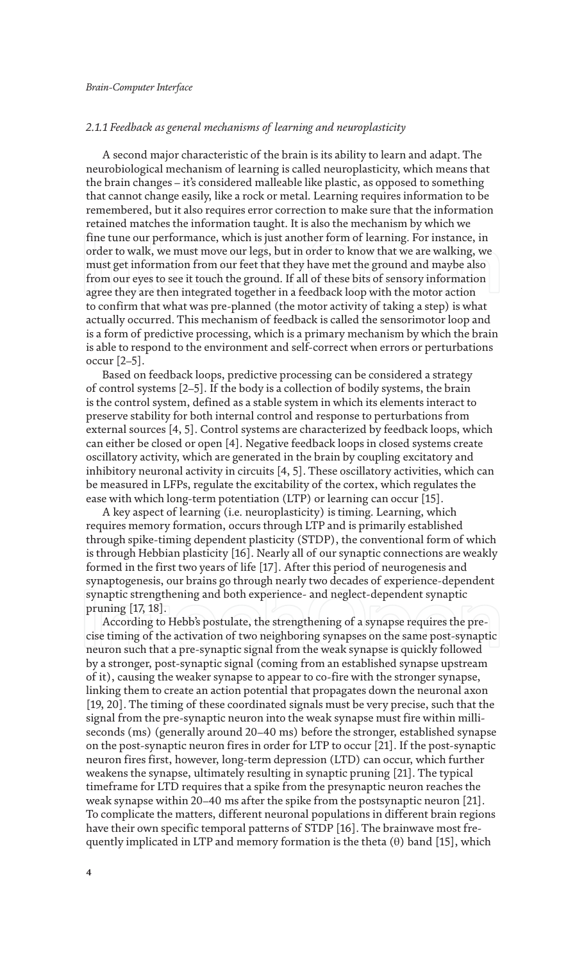#### *2.1.1 Feedback as general mechanisms of learning and neuroplasticity*

A second major characteristic of the brain is its ability to learn and adapt. The neurobiological mechanism of learning is called neuroplasticity, which means that the brain changes – it's considered malleable like plastic, as opposed to something that cannot change easily, like a rock or metal. Learning requires information to be remembered, but it also requires error correction to make sure that the information retained matches the information taught. It is also the mechanism by which we fine tune our performance, which is just another form of learning. For instance, in order to walk, we must move our legs, but in order to know that we are walking, we must get information from our feet that they have met the ground and maybe also from our eyes to see it touch the ground. If all of these bits of sensory information agree they are then integrated together in a feedback loop with the motor action to confirm that what was pre-planned (the motor activity of taking a step) is what actually occurred. This mechanism of feedback is called the sensorimotor loop and is a form of predictive processing, which is a primary mechanism by which the brain is able to respond to the environment and self-correct when errors or perturbations occur [2–5].

Based on feedback loops, predictive processing can be considered a strategy of control systems [2–5]. If the body is a collection of bodily systems, the brain is the control system, defined as a stable system in which its elements interact to preserve stability for both internal control and response to perturbations from external sources [4, 5]. Control systems are characterized by feedback loops, which can either be closed or open [4]. Negative feedback loops in closed systems create oscillatory activity, which are generated in the brain by coupling excitatory and inhibitory neuronal activity in circuits [4, 5]. These oscillatory activities, which can be measured in LFPs, regulate the excitability of the cortex, which regulates the ease with which long-term potentiation (LTP) or learning can occur [15].

A key aspect of learning (i.e. neuroplasticity) is timing. Learning, which requires memory formation, occurs through LTP and is primarily established through spike-timing dependent plasticity (STDP), the conventional form of which is through Hebbian plasticity [16]. Nearly all of our synaptic connections are weakly formed in the first two years of life [17]. After this period of neurogenesis and synaptogenesis, our brains go through nearly two decades of experience-dependent synaptic strengthening and both experience- and neglect-dependent synaptic pruning [17, 18].

According to Hebb's postulate, the strengthening of a synapse requires the precise timing of the activation of two neighboring synapses on the same post-synaptic neuron such that a pre-synaptic signal from the weak synapse is quickly followed by a stronger, post-synaptic signal (coming from an established synapse upstream of it), causing the weaker synapse to appear to co-fire with the stronger synapse, linking them to create an action potential that propagates down the neuronal axon [19, 20]. The timing of these coordinated signals must be very precise, such that the signal from the pre-synaptic neuron into the weak synapse must fire within milliseconds (ms) (generally around 20–40 ms) before the stronger, established synapse on the post-synaptic neuron fires in order for LTP to occur [21]. If the post-synaptic neuron fires first, however, long-term depression (LTD) can occur, which further weakens the synapse, ultimately resulting in synaptic pruning [21]. The typical timeframe for LTD requires that a spike from the presynaptic neuron reaches the weak synapse within 20–40 ms after the spike from the postsynaptic neuron [21]. To complicate the matters, different neuronal populations in different brain regions have their own specific temporal patterns of STDP [16]. The brainwave most frequently implicated in LTP and memory formation is the theta  $(\theta)$  band [15], which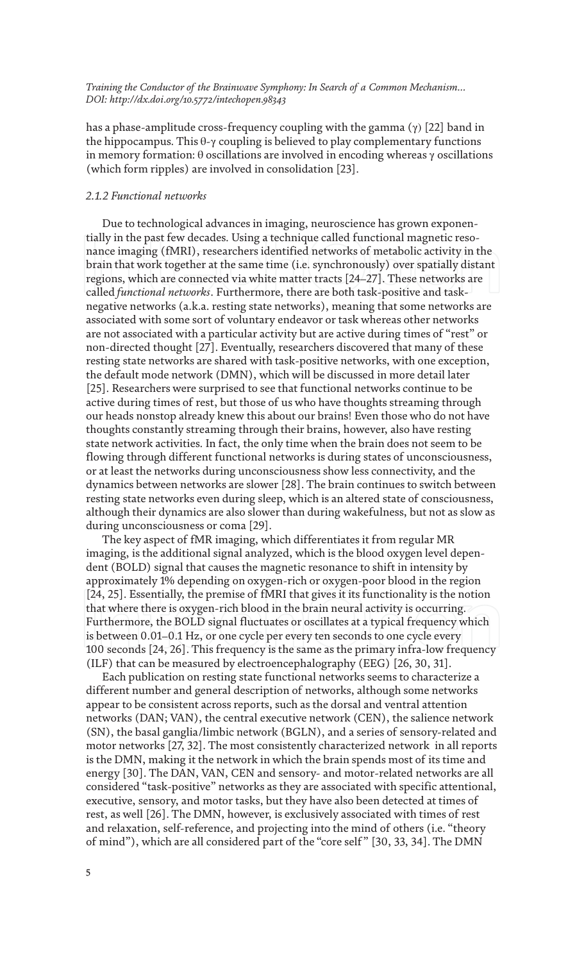has a phase-amplitude cross-frequency coupling with the gamma  $(\gamma)$  [22] band in the hippocampus. This  $\theta$ -γ coupling is believed to play complementary functions in memory formation: θ oscillations are involved in encoding whereas γ oscillations (which form ripples) are involved in consolidation [23].

#### *2.1.2 Functional networks*

Due to technological advances in imaging, neuroscience has grown exponentially in the past few decades. Using a technique called functional magnetic resonance imaging (fMRI), researchers identified networks of metabolic activity in the brain that work together at the same time (i.e. synchronously) over spatially distant regions, which are connected via white matter tracts [24–27]. These networks are called *functional networks*. Furthermore, there are both task-positive and tasknegative networks (a.k.a. resting state networks), meaning that some networks are associated with some sort of voluntary endeavor or task whereas other networks are not associated with a particular activity but are active during times of "rest" or non-directed thought [27]. Eventually, researchers discovered that many of these resting state networks are shared with task-positive networks, with one exception, the default mode network (DMN), which will be discussed in more detail later [25]. Researchers were surprised to see that functional networks continue to be active during times of rest, but those of us who have thoughts streaming through our heads nonstop already knew this about our brains! Even those who do not have thoughts constantly streaming through their brains, however, also have resting state network activities. In fact, the only time when the brain does not seem to be flowing through different functional networks is during states of unconsciousness, or at least the networks during unconsciousness show less connectivity, and the dynamics between networks are slower [28]. The brain continues to switch between resting state networks even during sleep, which is an altered state of consciousness, although their dynamics are also slower than during wakefulness, but not as slow as during unconsciousness or coma [29].

The key aspect of fMR imaging, which differentiates it from regular MR imaging, is the additional signal analyzed, which is the blood oxygen level dependent (BOLD) signal that causes the magnetic resonance to shift in intensity by approximately 1% depending on oxygen-rich or oxygen-poor blood in the region [24, 25]. Essentially, the premise of fMRI that gives it its functionality is the notion that where there is oxygen-rich blood in the brain neural activity is occurring. Furthermore, the BOLD signal fluctuates or oscillates at a typical frequency which is between 0.01–0.1 Hz, or one cycle per every ten seconds to one cycle every 100 seconds [24, 26]. This frequency is the same as the primary infra-low frequency (ILF) that can be measured by electroencephalography (EEG) [26, 30, 31].

Each publication on resting state functional networks seems to characterize a different number and general description of networks, although some networks appear to be consistent across reports, such as the dorsal and ventral attention networks (DAN; VAN), the central executive network (CEN), the salience network (SN), the basal ganglia/limbic network (BGLN), and a series of sensory-related and motor networks [27, 32]. The most consistently characterized network in all reports is the DMN, making it the network in which the brain spends most of its time and energy [30]. The DAN, VAN, CEN and sensory- and motor-related networks are all considered "task-positive" networks as they are associated with specific attentional, executive, sensory, and motor tasks, but they have also been detected at times of rest, as well [26]. The DMN, however, is exclusively associated with times of rest and relaxation, self-reference, and projecting into the mind of others (i.e. "theory of mind"), which are all considered part of the "core self" [30, 33, 34]. The DMN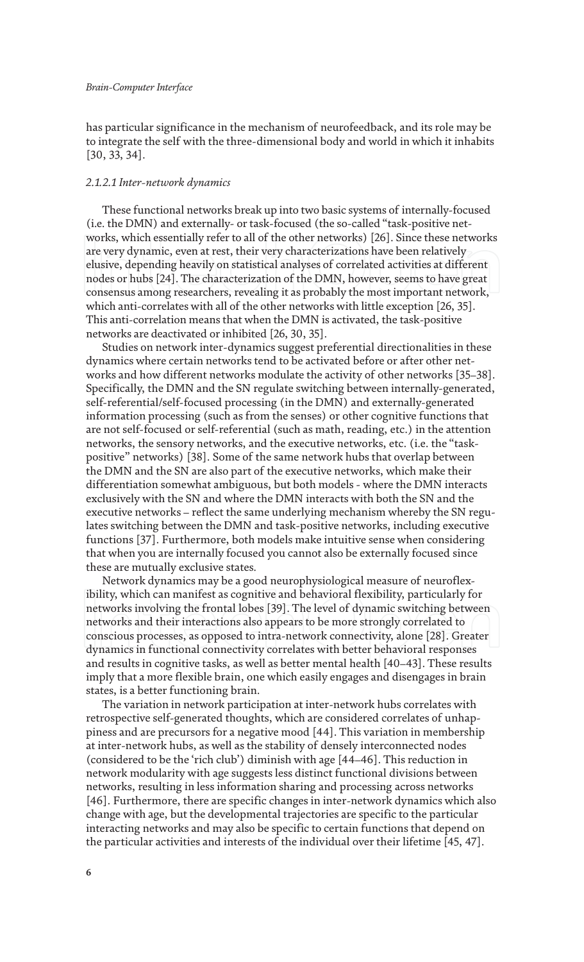has particular significance in the mechanism of neurofeedback, and its role may be to integrate the self with the three-dimensional body and world in which it inhabits [30, 33, 34].

#### *2.1.2.1 Inter-network dynamics*

These functional networks break up into two basic systems of internally-focused (i.e. the DMN) and externally- or task-focused (the so-called "task-positive networks, which essentially refer to all of the other networks) [26]. Since these networks are very dynamic, even at rest, their very characterizations have been relatively elusive, depending heavily on statistical analyses of correlated activities at different nodes or hubs [24]. The characterization of the DMN, however, seems to have great consensus among researchers, revealing it as probably the most important network, which anti-correlates with all of the other networks with little exception [26, 35]. This anti-correlation means that when the DMN is activated, the task-positive networks are deactivated or inhibited [26, 30, 35].

Studies on network inter-dynamics suggest preferential directionalities in these dynamics where certain networks tend to be activated before or after other networks and how different networks modulate the activity of other networks [35–38]. Specifically, the DMN and the SN regulate switching between internally-generated, self-referential/self-focused processing (in the DMN) and externally-generated information processing (such as from the senses) or other cognitive functions that are not self-focused or self-referential (such as math, reading, etc.) in the attention networks, the sensory networks, and the executive networks, etc. (i.e. the "taskpositive" networks) [38]. Some of the same network hubs that overlap between the DMN and the SN are also part of the executive networks, which make their differentiation somewhat ambiguous, but both models - where the DMN interacts exclusively with the SN and where the DMN interacts with both the SN and the executive networks – reflect the same underlying mechanism whereby the SN regulates switching between the DMN and task-positive networks, including executive functions [37]. Furthermore, both models make intuitive sense when considering that when you are internally focused you cannot also be externally focused since these are mutually exclusive states.

Network dynamics may be a good neurophysiological measure of neuroflexibility, which can manifest as cognitive and behavioral flexibility, particularly for networks involving the frontal lobes [39]. The level of dynamic switching between networks and their interactions also appears to be more strongly correlated to conscious processes, as opposed to intra-network connectivity, alone [28]. Greater dynamics in functional connectivity correlates with better behavioral responses and results in cognitive tasks, as well as better mental health [40–43]. These results imply that a more flexible brain, one which easily engages and disengages in brain states, is a better functioning brain.

The variation in network participation at inter-network hubs correlates with retrospective self-generated thoughts, which are considered correlates of unhappiness and are precursors for a negative mood [44]. This variation in membership at inter-network hubs, as well as the stability of densely interconnected nodes (considered to be the 'rich club') diminish with age [44–46]. This reduction in network modularity with age suggests less distinct functional divisions between networks, resulting in less information sharing and processing across networks [46]. Furthermore, there are specific changes in inter-network dynamics which also change with age, but the developmental trajectories are specific to the particular interacting networks and may also be specific to certain functions that depend on the particular activities and interests of the individual over their lifetime [45, 47].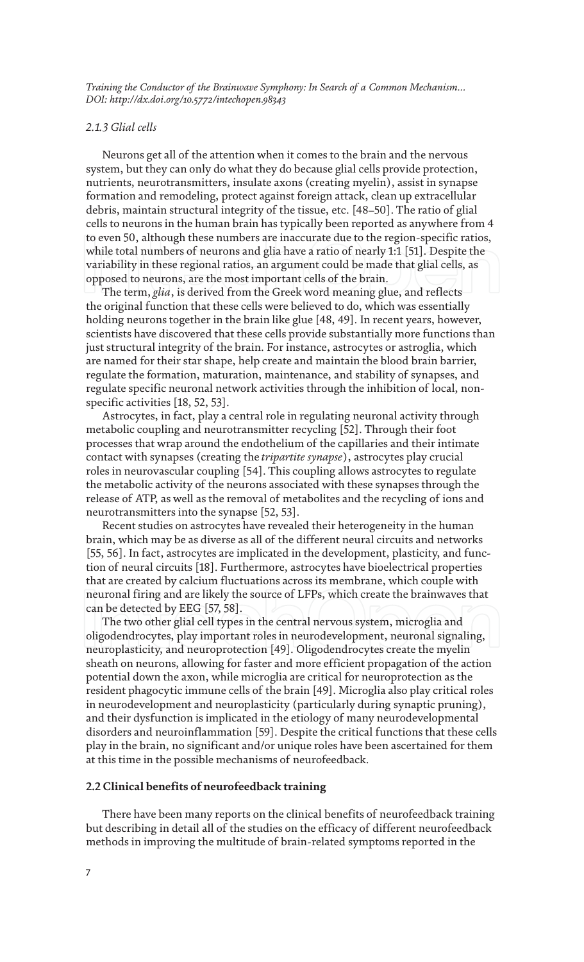#### *2.1.3 Glial cells*

Neurons get all of the attention when it comes to the brain and the nervous system, but they can only do what they do because glial cells provide protection, nutrients, neurotransmitters, insulate axons (creating myelin), assist in synapse formation and remodeling, protect against foreign attack, clean up extracellular debris, maintain structural integrity of the tissue, etc. [48–50]. The ratio of glial cells to neurons in the human brain has typically been reported as anywhere from 4 to even 50, although these numbers are inaccurate due to the region-specific ratios, while total numbers of neurons and glia have a ratio of nearly 1:1 [51]. Despite the variability in these regional ratios, an argument could be made that glial cells, as opposed to neurons, are the most important cells of the brain.

The term, *glia*, is derived from the Greek word meaning glue, and reflects the original function that these cells were believed to do, which was essentially holding neurons together in the brain like glue [48, 49]. In recent years, however, scientists have discovered that these cells provide substantially more functions than just structural integrity of the brain. For instance, astrocytes or astroglia, which are named for their star shape, help create and maintain the blood brain barrier, regulate the formation, maturation, maintenance, and stability of synapses, and regulate specific neuronal network activities through the inhibition of local, nonspecific activities [18, 52, 53].

Astrocytes, in fact, play a central role in regulating neuronal activity through metabolic coupling and neurotransmitter recycling [52]. Through their foot processes that wrap around the endothelium of the capillaries and their intimate contact with synapses (creating the *tripartite synapse*), astrocytes play crucial roles in neurovascular coupling [54]. This coupling allows astrocytes to regulate the metabolic activity of the neurons associated with these synapses through the release of ATP, as well as the removal of metabolites and the recycling of ions and neurotransmitters into the synapse [52, 53].

Recent studies on astrocytes have revealed their heterogeneity in the human brain, which may be as diverse as all of the different neural circuits and networks [55, 56]. In fact, astrocytes are implicated in the development, plasticity, and function of neural circuits [18]. Furthermore, astrocytes have bioelectrical properties that are created by calcium fluctuations across its membrane, which couple with neuronal firing and are likely the source of LFPs, which create the brainwaves that can be detected by EEG [57, 58].

The two other glial cell types in the central nervous system, microglia and oligodendrocytes, play important roles in neurodevelopment, neuronal signaling, neuroplasticity, and neuroprotection [49]. Oligodendrocytes create the myelin sheath on neurons, allowing for faster and more efficient propagation of the action potential down the axon, while microglia are critical for neuroprotection as the resident phagocytic immune cells of the brain [49]. Microglia also play critical roles in neurodevelopment and neuroplasticity (particularly during synaptic pruning), and their dysfunction is implicated in the etiology of many neurodevelopmental disorders and neuroinflammation [59]. Despite the critical functions that these cells play in the brain, no significant and/or unique roles have been ascertained for them at this time in the possible mechanisms of neurofeedback.

#### **2.2 Clinical benefits of neurofeedback training**

There have been many reports on the clinical benefits of neurofeedback training but describing in detail all of the studies on the efficacy of different neurofeedback methods in improving the multitude of brain-related symptoms reported in the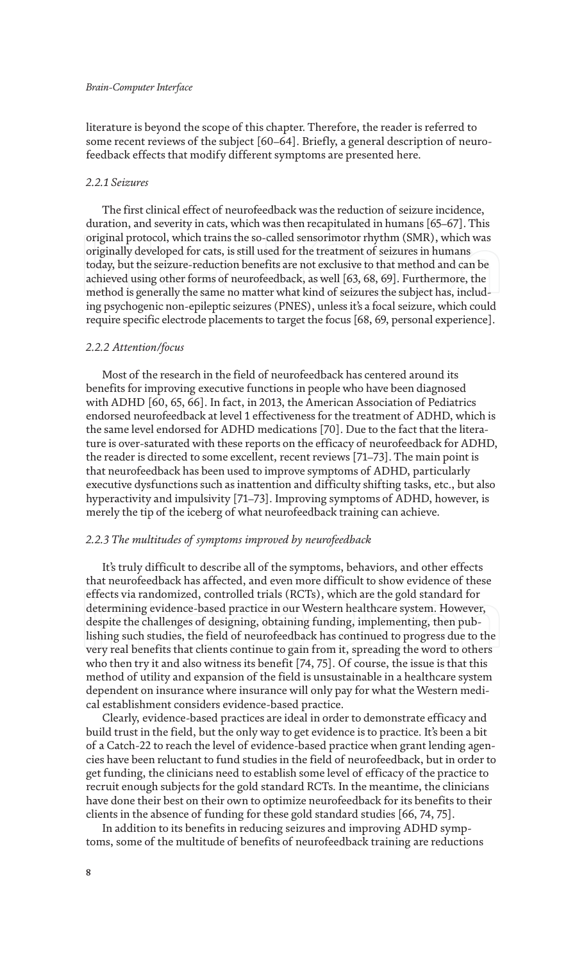literature is beyond the scope of this chapter. Therefore, the reader is referred to some recent reviews of the subject [60–64]. Briefly, a general description of neurofeedback effects that modify different symptoms are presented here.

#### *2.2.1 Seizures*

The first clinical effect of neurofeedback was the reduction of seizure incidence, duration, and severity in cats, which was then recapitulated in humans [65–67]. This original protocol, which trains the so-called sensorimotor rhythm (SMR), which was originally developed for cats, is still used for the treatment of seizures in humans today, but the seizure-reduction benefits are not exclusive to that method and can be achieved using other forms of neurofeedback, as well [63, 68, 69]. Furthermore, the method is generally the same no matter what kind of seizures the subject has, including psychogenic non-epileptic seizures (PNES), unless it's a focal seizure, which could require specific electrode placements to target the focus [68, 69, personal experience].

#### *2.2.2 Attention/focus*

Most of the research in the field of neurofeedback has centered around its benefits for improving executive functions in people who have been diagnosed with ADHD [60, 65, 66]. In fact, in 2013, the American Association of Pediatrics endorsed neurofeedback at level 1 effectiveness for the treatment of ADHD, which is the same level endorsed for ADHD medications [70]. Due to the fact that the literature is over-saturated with these reports on the efficacy of neurofeedback for ADHD, the reader is directed to some excellent, recent reviews [71–73]. The main point is that neurofeedback has been used to improve symptoms of ADHD, particularly executive dysfunctions such as inattention and difficulty shifting tasks, etc., but also hyperactivity and impulsivity [71–73]. Improving symptoms of ADHD, however, is merely the tip of the iceberg of what neurofeedback training can achieve.

#### *2.2.3 The multitudes of symptoms improved by neurofeedback*

It's truly difficult to describe all of the symptoms, behaviors, and other effects that neurofeedback has affected, and even more difficult to show evidence of these effects via randomized, controlled trials (RCTs), which are the gold standard for determining evidence-based practice in our Western healthcare system. However, despite the challenges of designing, obtaining funding, implementing, then publishing such studies, the field of neurofeedback has continued to progress due to the very real benefits that clients continue to gain from it, spreading the word to others who then try it and also witness its benefit [74, 75]. Of course, the issue is that this method of utility and expansion of the field is unsustainable in a healthcare system dependent on insurance where insurance will only pay for what the Western medical establishment considers evidence-based practice.

Clearly, evidence-based practices are ideal in order to demonstrate efficacy and build trust in the field, but the only way to get evidence is to practice. It's been a bit of a Catch-22 to reach the level of evidence-based practice when grant lending agencies have been reluctant to fund studies in the field of neurofeedback, but in order to get funding, the clinicians need to establish some level of efficacy of the practice to recruit enough subjects for the gold standard RCTs. In the meantime, the clinicians have done their best on their own to optimize neurofeedback for its benefits to their clients in the absence of funding for these gold standard studies [66, 74, 75].

In addition to its benefits in reducing seizures and improving ADHD symptoms, some of the multitude of benefits of neurofeedback training are reductions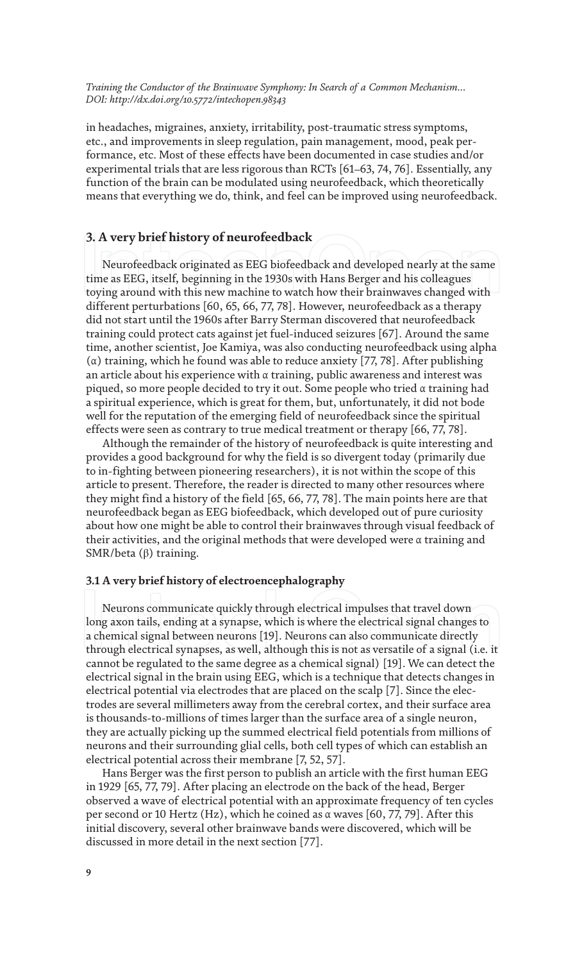in headaches, migraines, anxiety, irritability, post-traumatic stress symptoms, etc., and improvements in sleep regulation, pain management, mood, peak performance, etc. Most of these effects have been documented in case studies and/or experimental trials that are less rigorous than RCTs [61–63, 74, 76]. Essentially, any function of the brain can be modulated using neurofeedback, which theoretically means that everything we do, think, and feel can be improved using neurofeedback.

### **3. A very brief history of neurofeedback**

Neurofeedback originated as EEG biofeedback and developed nearly at the same time as EEG, itself, beginning in the 1930s with Hans Berger and his colleagues toying around with this new machine to watch how their brainwaves changed with different perturbations [60, 65, 66, 77, 78]. However, neurofeedback as a therapy did not start until the 1960s after Barry Sterman discovered that neurofeedback training could protect cats against jet fuel-induced seizures [67]. Around the same time, another scientist, Joe Kamiya, was also conducting neurofeedback using alpha (α) training, which he found was able to reduce anxiety [77, 78]. After publishing an article about his experience with α training, public awareness and interest was piqued, so more people decided to try it out. Some people who tried α training had a spiritual experience, which is great for them, but, unfortunately, it did not bode well for the reputation of the emerging field of neurofeedback since the spiritual effects were seen as contrary to true medical treatment or therapy [66, 77, 78].

Although the remainder of the history of neurofeedback is quite interesting and provides a good background for why the field is so divergent today (primarily due to in-fighting between pioneering researchers), it is not within the scope of this article to present. Therefore, the reader is directed to many other resources where they might find a history of the field [65, 66, 77, 78]. The main points here are that neurofeedback began as EEG biofeedback, which developed out of pure curiosity about how one might be able to control their brainwaves through visual feedback of their activities, and the original methods that were developed were α training and SMR/beta (β) training.

#### **3.1 A very brief history of electroencephalography**

Neurons communicate quickly through electrical impulses that travel down long axon tails, ending at a synapse, which is where the electrical signal changes to a chemical signal between neurons [19]. Neurons can also communicate directly through electrical synapses, as well, although this is not as versatile of a signal (i.e. it cannot be regulated to the same degree as a chemical signal) [19]. We can detect the electrical signal in the brain using EEG, which is a technique that detects changes in electrical potential via electrodes that are placed on the scalp [7]. Since the electrodes are several millimeters away from the cerebral cortex, and their surface area is thousands-to-millions of times larger than the surface area of a single neuron, they are actually picking up the summed electrical field potentials from millions of neurons and their surrounding glial cells, both cell types of which can establish an electrical potential across their membrane [7, 52, 57].

Hans Berger was the first person to publish an article with the first human EEG in 1929 [65, 77, 79]. After placing an electrode on the back of the head, Berger observed a wave of electrical potential with an approximate frequency of ten cycles per second or 10 Hertz (Hz), which he coined as α waves [60, 77, 79]. After this initial discovery, several other brainwave bands were discovered, which will be discussed in more detail in the next section [77].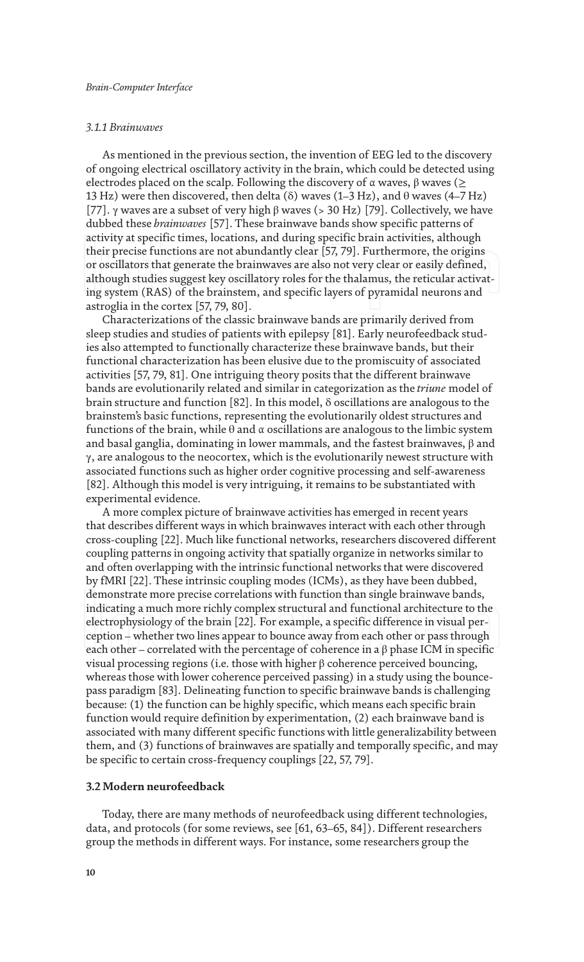#### *3.1.1 Brainwaves*

As mentioned in the previous section, the invention of EEG led to the discovery of ongoing electrical oscillatory activity in the brain, which could be detected using electrodes placed on the scalp. Following the discovery of  $\alpha$  waves,  $\beta$  waves ( $\ge$ 13 Hz) were then discovered, then delta ( $\delta$ ) waves (1–3 Hz), and  $\theta$  waves (4–7 Hz) [77]. γ waves are a subset of very high  $β$  waves (> 30 Hz) [79]. Collectively, we have dubbed these *brainwaves* [57]. These brainwave bands show specific patterns of activity at specific times, locations, and during specific brain activities, although their precise functions are not abundantly clear [57, 79]. Furthermore, the origins or oscillators that generate the brainwaves are also not very clear or easily defined, although studies suggest key oscillatory roles for the thalamus, the reticular activating system (RAS) of the brainstem, and specific layers of pyramidal neurons and astroglia in the cortex [57, 79, 80].

Characterizations of the classic brainwave bands are primarily derived from sleep studies and studies of patients with epilepsy [81]. Early neurofeedback studies also attempted to functionally characterize these brainwave bands, but their functional characterization has been elusive due to the promiscuity of associated activities [57, 79, 81]. One intriguing theory posits that the different brainwave bands are evolutionarily related and similar in categorization as the *triune* model of brain structure and function [82]. In this model, δ oscillations are analogous to the brainstem's basic functions, representing the evolutionarily oldest structures and functions of the brain, while θ and α oscillations are analogous to the limbic system and basal ganglia, dominating in lower mammals, and the fastest brainwaves, β and  $\gamma$ , are analogous to the neocortex, which is the evolutionarily newest structure with associated functions such as higher order cognitive processing and self-awareness [82]. Although this model is very intriguing, it remains to be substantiated with experimental evidence.

A more complex picture of brainwave activities has emerged in recent years that describes different ways in which brainwaves interact with each other through cross-coupling [22]. Much like functional networks, researchers discovered different coupling patterns in ongoing activity that spatially organize in networks similar to and often overlapping with the intrinsic functional networks that were discovered by fMRI [22]. These intrinsic coupling modes (ICMs), as they have been dubbed, demonstrate more precise correlations with function than single brainwave bands, indicating a much more richly complex structural and functional architecture to the electrophysiology of the brain [22]*.* For example, a specific difference in visual perception – whether two lines appear to bounce away from each other or pass through each other – correlated with the percentage of coherence in a  $\beta$  phase ICM in specific visual processing regions (i.e. those with higher β coherence perceived bouncing, whereas those with lower coherence perceived passing) in a study using the bouncepass paradigm [83]. Delineating function to specific brainwave bands is challenging because: (1) the function can be highly specific, which means each specific brain function would require definition by experimentation, (2) each brainwave band is associated with many different specific functions with little generalizability between them, and (3) functions of brainwaves are spatially and temporally specific, and may be specific to certain cross-frequency couplings [22, 57, 79].

#### **3.2 Modern neurofeedback**

Today, there are many methods of neurofeedback using different technologies, data, and protocols (for some reviews, see [61, 63–65, 84]). Different researchers group the methods in different ways. For instance, some researchers group the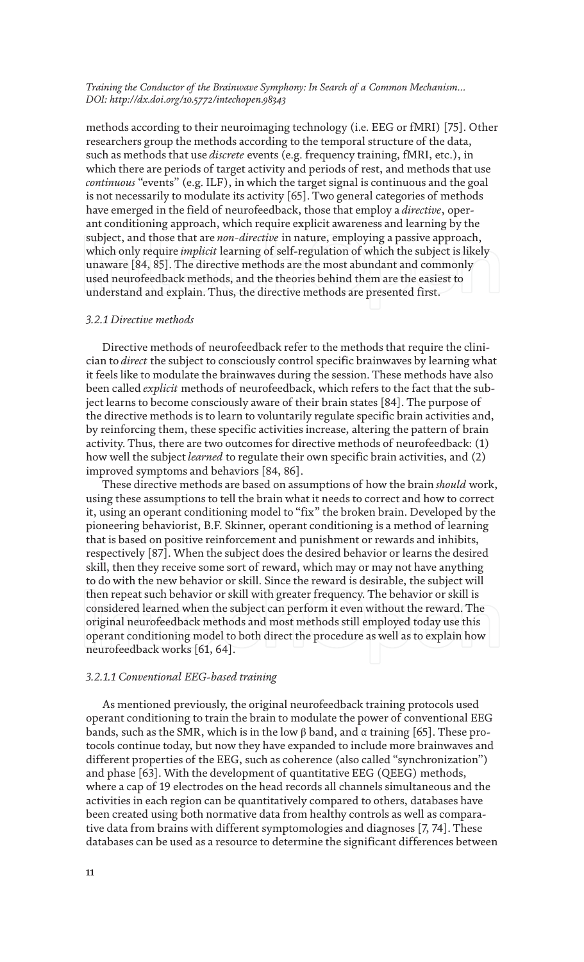methods according to their neuroimaging technology (i.e. EEG or fMRI) [75]. Other researchers group the methods according to the temporal structure of the data, such as methods that use *discrete* events (e.g. frequency training, fMRI, etc.), in which there are periods of target activity and periods of rest, and methods that use *continuous* "events" (e.g. ILF), in which the target signal is continuous and the goal is not necessarily to modulate its activity [65]. Two general categories of methods have emerged in the field of neurofeedback, those that employ a *directive*, operant conditioning approach, which require explicit awareness and learning by the subject, and those that are *non-directive* in nature, employing a passive approach, which only require *implicit* learning of self-regulation of which the subject is likely unaware [84, 85]. The directive methods are the most abundant and commonly used neurofeedback methods, and the theories behind them are the easiest to understand and explain. Thus, the directive methods are presented first.

#### *3.2.1 Directive methods*

Directive methods of neurofeedback refer to the methods that require the clinician to *direct* the subject to consciously control specific brainwaves by learning what it feels like to modulate the brainwaves during the session. These methods have also been called *explicit* methods of neurofeedback, which refers to the fact that the subject learns to become consciously aware of their brain states [84]. The purpose of the directive methods is to learn to voluntarily regulate specific brain activities and, by reinforcing them, these specific activities increase, altering the pattern of brain activity. Thus, there are two outcomes for directive methods of neurofeedback: (1) how well the subject *learned* to regulate their own specific brain activities, and (2) improved symptoms and behaviors [84, 86].

These directive methods are based on assumptions of how the brain *should* work, using these assumptions to tell the brain what it needs to correct and how to correct it, using an operant conditioning model to "fix" the broken brain. Developed by the pioneering behaviorist, B.F. Skinner, operant conditioning is a method of learning that is based on positive reinforcement and punishment or rewards and inhibits, respectively [87]. When the subject does the desired behavior or learns the desired skill, then they receive some sort of reward, which may or may not have anything to do with the new behavior or skill. Since the reward is desirable, the subject will then repeat such behavior or skill with greater frequency. The behavior or skill is considered learned when the subject can perform it even without the reward. The original neurofeedback methods and most methods still employed today use this operant conditioning model to both direct the procedure as well as to explain how neurofeedback works [61, 64].

#### *3.2.1.1 Conventional EEG-based training*

As mentioned previously, the original neurofeedback training protocols used operant conditioning to train the brain to modulate the power of conventional EEG bands, such as the SMR, which is in the low  $β$  band, and  $α$  training [65]. These protocols continue today, but now they have expanded to include more brainwaves and different properties of the EEG, such as coherence (also called "synchronization") and phase [63]. With the development of quantitative EEG (QEEG) methods, where a cap of 19 electrodes on the head records all channels simultaneous and the activities in each region can be quantitatively compared to others, databases have been created using both normative data from healthy controls as well as comparative data from brains with different symptomologies and diagnoses [7, 74]. These databases can be used as a resource to determine the significant differences between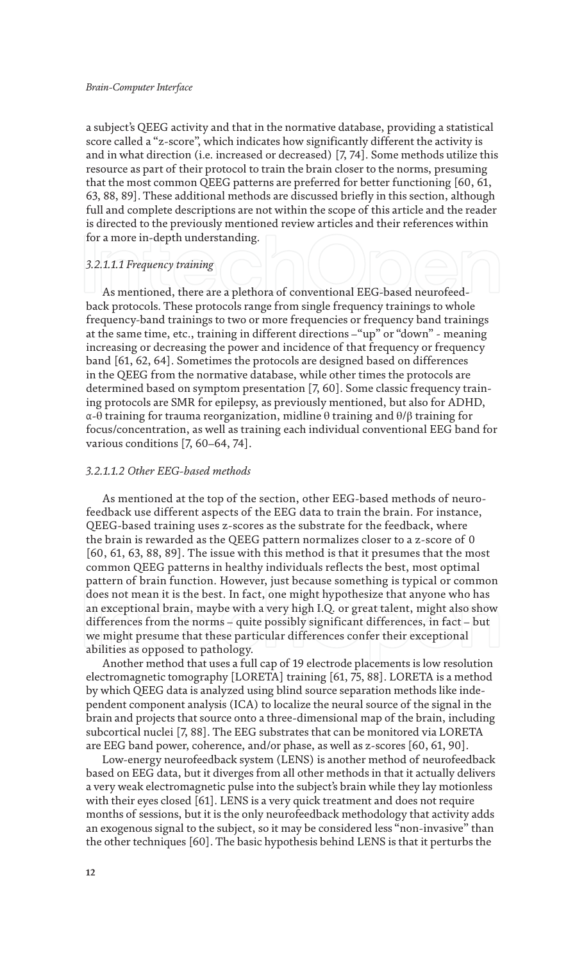a subject's QEEG activity and that in the normative database, providing a statistical score called a "z-score", which indicates how significantly different the activity is and in what direction (i.e. increased or decreased) [7, 74]. Some methods utilize this resource as part of their protocol to train the brain closer to the norms, presuming that the most common QEEG patterns are preferred for better functioning [60, 61, 63, 88, 89]. These additional methods are discussed briefly in this section, although full and complete descriptions are not within the scope of this article and the reader is directed to the previously mentioned review articles and their references within for a more in-depth understanding.

## *3.2.1.1.1 Frequency training*

As mentioned, there are a plethora of conventional EEG-based neurofeedback protocols. These protocols range from single frequency trainings to whole frequency-band trainings to two or more frequencies or frequency band trainings at the same time, etc., training in different directions –"up" or "down" - meaning increasing or decreasing the power and incidence of that frequency or frequency band [61, 62, 64]. Sometimes the protocols are designed based on differences in the QEEG from the normative database, while other times the protocols are determined based on symptom presentation [7, 60]. Some classic frequency training protocols are SMR for epilepsy, as previously mentioned, but also for ADHD, α-θ training for trauma reorganization, midline θ training and θ/β training for focus/concentration, as well as training each individual conventional EEG band for various conditions [7, 60–64, 74].

#### *3.2.1.1.2 Other EEG-based methods*

As mentioned at the top of the section, other EEG-based methods of neurofeedback use different aspects of the EEG data to train the brain. For instance, QEEG-based training uses z-scores as the substrate for the feedback, where the brain is rewarded as the QEEG pattern normalizes closer to a z-score of 0 [60, 61, 63, 88, 89]. The issue with this method is that it presumes that the most common QEEG patterns in healthy individuals reflects the best, most optimal pattern of brain function. However, just because something is typical or common does not mean it is the best. In fact, one might hypothesize that anyone who has an exceptional brain, maybe with a very high I.Q. or great talent, might also show differences from the norms – quite possibly significant differences, in fact – but we might presume that these particular differences confer their exceptional abilities as opposed to pathology.

Another method that uses a full cap of 19 electrode placements is low resolution electromagnetic tomography [LORETA] training [61, 75, 88]. LORETA is a method by which QEEG data is analyzed using blind source separation methods like independent component analysis (ICA) to localize the neural source of the signal in the brain and projects that source onto a three-dimensional map of the brain, including subcortical nuclei [7, 88]. The EEG substrates that can be monitored via LORETA are EEG band power, coherence, and/or phase, as well as z-scores [60, 61, 90].

Low-energy neurofeedback system (LENS) is another method of neurofeedback based on EEG data, but it diverges from all other methods in that it actually delivers a very weak electromagnetic pulse into the subject's brain while they lay motionless with their eyes closed [61]. LENS is a very quick treatment and does not require months of sessions, but it is the only neurofeedback methodology that activity adds an exogenous signal to the subject, so it may be considered less "non-invasive" than the other techniques [60]. The basic hypothesis behind LENS is that it perturbs the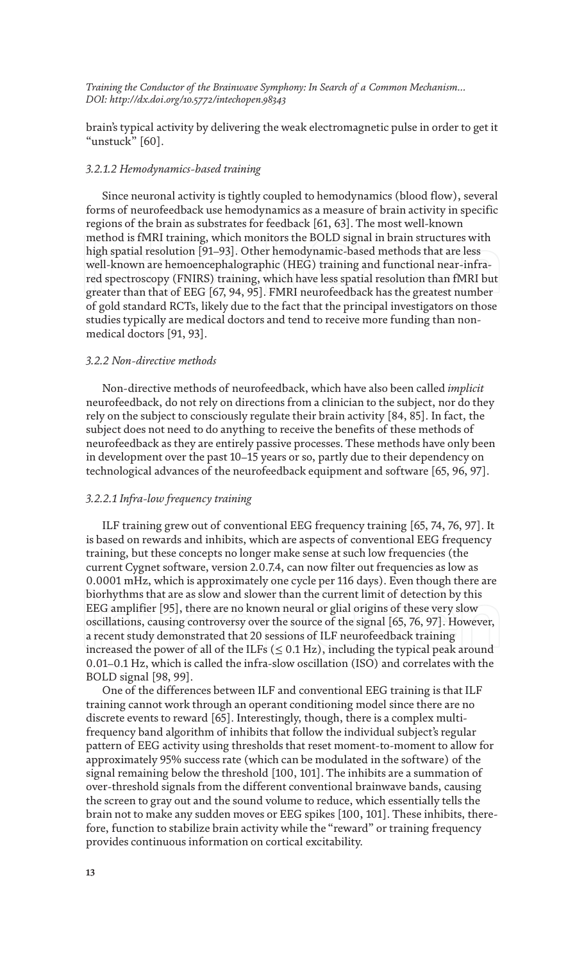brain's typical activity by delivering the weak electromagnetic pulse in order to get it "unstuck" [60].

#### *3.2.1.2 Hemodynamics-based training*

Since neuronal activity is tightly coupled to hemodynamics (blood flow), several forms of neurofeedback use hemodynamics as a measure of brain activity in specific regions of the brain as substrates for feedback [61, 63]. The most well-known method is fMRI training, which monitors the BOLD signal in brain structures with high spatial resolution [91–93]. Other hemodynamic-based methods that are less well-known are hemoencephalographic (HEG) training and functional near-infrared spectroscopy (FNIRS) training, which have less spatial resolution than fMRI but greater than that of EEG [67, 94, 95]. FMRI neurofeedback has the greatest number of gold standard RCTs, likely due to the fact that the principal investigators on those studies typically are medical doctors and tend to receive more funding than nonmedical doctors [91, 93].

#### *3.2.2 Non-directive methods*

Non-directive methods of neurofeedback, which have also been called *implicit* neurofeedback, do not rely on directions from a clinician to the subject, nor do they rely on the subject to consciously regulate their brain activity [84, 85]. In fact, the subject does not need to do anything to receive the benefits of these methods of neurofeedback as they are entirely passive processes. These methods have only been in development over the past 10–15 years or so, partly due to their dependency on technological advances of the neurofeedback equipment and software [65, 96, 97].

#### *3.2.2.1 Infra-low frequency training*

ILF training grew out of conventional EEG frequency training [65, 74, 76, 97]. It is based on rewards and inhibits, which are aspects of conventional EEG frequency training, but these concepts no longer make sense at such low frequencies (the current Cygnet software, version 2.0.7.4, can now filter out frequencies as low as 0.0001 mHz, which is approximately one cycle per 116 days). Even though there are biorhythms that are as slow and slower than the current limit of detection by this EEG amplifier [95], there are no known neural or glial origins of these very slow oscillations, causing controversy over the source of the signal [65, 76, 97]. However, a recent study demonstrated that 20 sessions of ILF neurofeedback training increased the power of all of the ILFs  $(\leq 0.1 \text{ Hz})$ , including the typical peak around 0.01–0.1 Hz, which is called the infra-slow oscillation (ISO) and correlates with the BOLD signal [98, 99].

One of the differences between ILF and conventional EEG training is that ILF training cannot work through an operant conditioning model since there are no discrete events to reward [65]. Interestingly, though, there is a complex multifrequency band algorithm of inhibits that follow the individual subject's regular pattern of EEG activity using thresholds that reset moment-to-moment to allow for approximately 95% success rate (which can be modulated in the software) of the signal remaining below the threshold [100, 101]. The inhibits are a summation of over-threshold signals from the different conventional brainwave bands, causing the screen to gray out and the sound volume to reduce, which essentially tells the brain not to make any sudden moves or EEG spikes [100, 101]. These inhibits, therefore, function to stabilize brain activity while the "reward" or training frequency provides continuous information on cortical excitability.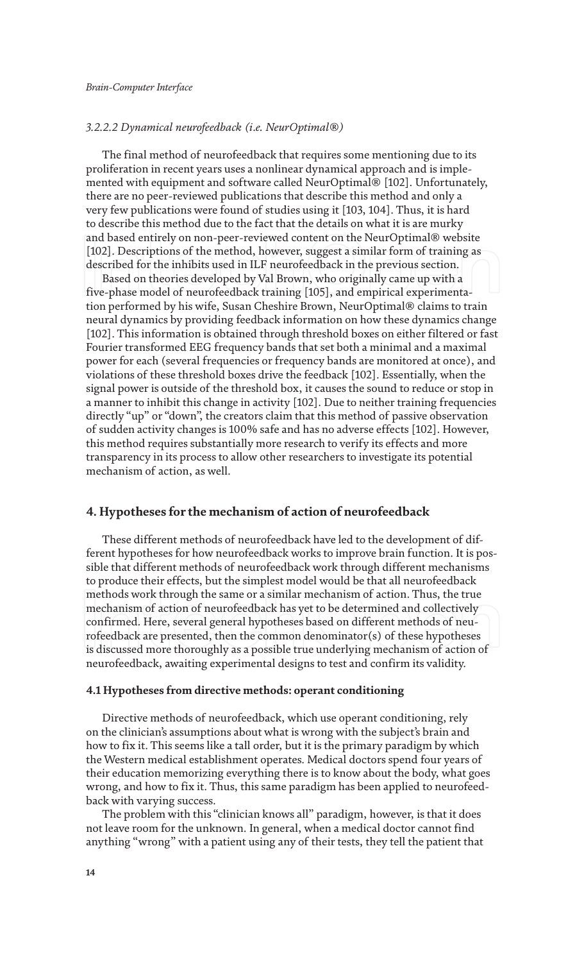#### *3.2.2.2 Dynamical neurofeedback (i.e. NeurOptimal®)*

The final method of neurofeedback that requires some mentioning due to its proliferation in recent years uses a nonlinear dynamical approach and is implemented with equipment and software called NeurOptimal® [102]. Unfortunately, there are no peer-reviewed publications that describe this method and only a very few publications were found of studies using it [103, 104]. Thus, it is hard to describe this method due to the fact that the details on what it is are murky and based entirely on non-peer-reviewed content on the NeurOptimal® website [102]. Descriptions of the method, however, suggest a similar form of training as described for the inhibits used in ILF neurofeedback in the previous section.

Based on theories developed by Val Brown, who originally came up with a five-phase model of neurofeedback training [105], and empirical experimentation performed by his wife, Susan Cheshire Brown, NeurOptimal® claims to train neural dynamics by providing feedback information on how these dynamics change [102]. This information is obtained through threshold boxes on either filtered or fast Fourier transformed EEG frequency bands that set both a minimal and a maximal power for each (several frequencies or frequency bands are monitored at once), and violations of these threshold boxes drive the feedback [102]. Essentially, when the signal power is outside of the threshold box, it causes the sound to reduce or stop in a manner to inhibit this change in activity [102]. Due to neither training frequencies directly "up" or "down", the creators claim that this method of passive observation of sudden activity changes is 100% safe and has no adverse effects [102]. However, this method requires substantially more research to verify its effects and more transparency in its process to allow other researchers to investigate its potential mechanism of action, as well.

#### **4. Hypotheses for the mechanism of action of neurofeedback**

These different methods of neurofeedback have led to the development of different hypotheses for how neurofeedback works to improve brain function. It is possible that different methods of neurofeedback work through different mechanisms to produce their effects, but the simplest model would be that all neurofeedback methods work through the same or a similar mechanism of action. Thus, the true mechanism of action of neurofeedback has yet to be determined and collectively confirmed. Here, several general hypotheses based on different methods of neurofeedback are presented, then the common denominator(s) of these hypotheses is discussed more thoroughly as a possible true underlying mechanism of action of neurofeedback, awaiting experimental designs to test and confirm its validity.

#### **4.1 Hypotheses from directive methods: operant conditioning**

Directive methods of neurofeedback, which use operant conditioning, rely on the clinician's assumptions about what is wrong with the subject's brain and how to fix it. This seems like a tall order, but it is the primary paradigm by which the Western medical establishment operates. Medical doctors spend four years of their education memorizing everything there is to know about the body, what goes wrong, and how to fix it. Thus, this same paradigm has been applied to neurofeedback with varying success.

The problem with this "clinician knows all" paradigm, however, is that it does not leave room for the unknown. In general, when a medical doctor cannot find anything "wrong" with a patient using any of their tests, they tell the patient that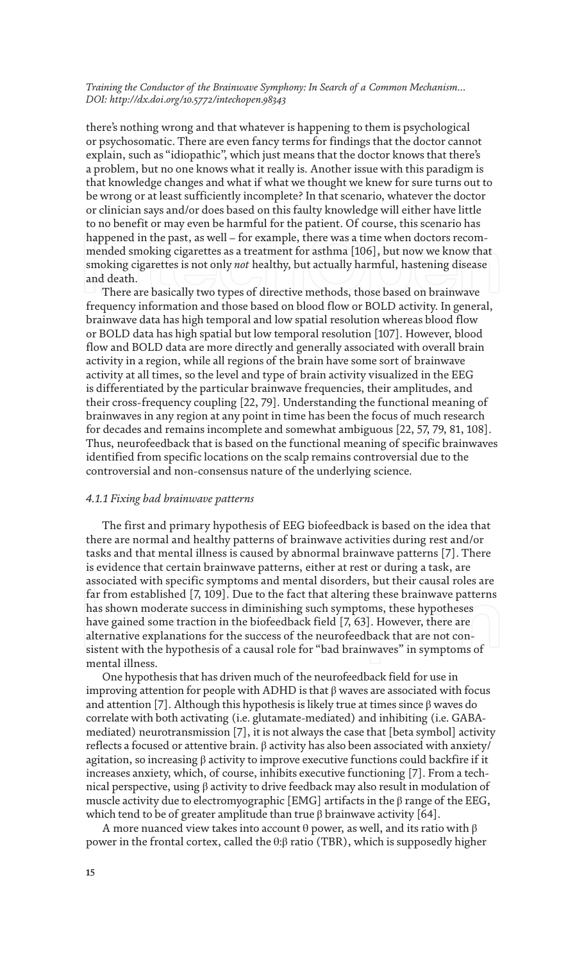there's nothing wrong and that whatever is happening to them is psychological or psychosomatic. There are even fancy terms for findings that the doctor cannot explain, such as "idiopathic", which just means that the doctor knows that there's a problem, but no one knows what it really is. Another issue with this paradigm is that knowledge changes and what if what we thought we knew for sure turns out to be wrong or at least sufficiently incomplete? In that scenario, whatever the doctor or clinician says and/or does based on this faulty knowledge will either have little to no benefit or may even be harmful for the patient. Of course, this scenario has happened in the past, as well – for example, there was a time when doctors recommended smoking cigarettes as a treatment for asthma [106], but now we know that smoking cigarettes is not only *not* healthy, but actually harmful, hastening disease and death.

There are basically two types of directive methods, those based on brainwave frequency information and those based on blood flow or BOLD activity. In general, brainwave data has high temporal and low spatial resolution whereas blood flow or BOLD data has high spatial but low temporal resolution [107]. However, blood flow and BOLD data are more directly and generally associated with overall brain activity in a region, while all regions of the brain have some sort of brainwave activity at all times, so the level and type of brain activity visualized in the EEG is differentiated by the particular brainwave frequencies, their amplitudes, and their cross-frequency coupling [22, 79]. Understanding the functional meaning of brainwaves in any region at any point in time has been the focus of much research for decades and remains incomplete and somewhat ambiguous [22, 57, 79, 81, 108]. Thus, neurofeedback that is based on the functional meaning of specific brainwaves identified from specific locations on the scalp remains controversial due to the controversial and non-consensus nature of the underlying science.

#### *4.1.1 Fixing bad brainwave patterns*

The first and primary hypothesis of EEG biofeedback is based on the idea that there are normal and healthy patterns of brainwave activities during rest and/or tasks and that mental illness is caused by abnormal brainwave patterns [7]. There is evidence that certain brainwave patterns, either at rest or during a task, are associated with specific symptoms and mental disorders, but their causal roles are far from established [7, 109]. Due to the fact that altering these brainwave patterns has shown moderate success in diminishing such symptoms, these hypotheses have gained some traction in the biofeedback field [7, 63]. However, there are alternative explanations for the success of the neurofeedback that are not consistent with the hypothesis of a causal role for "bad brainwaves" in symptoms of mental illness.

One hypothesis that has driven much of the neurofeedback field for use in improving attention for people with ADHD is that  $\beta$  waves are associated with focus and attention [7]. Although this hypothesis is likely true at times since  $\beta$  waves do correlate with both activating (i.e. glutamate-mediated) and inhibiting (i.e. GABAmediated) neurotransmission [7], it is not always the case that [beta symbol] activity reflects a focused or attentive brain.  $β$  activity has also been associated with anxiety/ agitation, so increasing β activity to improve executive functions could backfire if it increases anxiety, which, of course, inhibits executive functioning [7]. From a technical perspective, using β activity to drive feedback may also result in modulation of muscle activity due to electromyographic [EMG] artifacts in the  $\beta$  range of the EEG, which tend to be of greater amplitude than true  $\beta$  brainwave activity [64].

A more nuanced view takes into account  $\theta$  power, as well, and its ratio with  $\beta$ power in the frontal cortex, called the θ:β ratio (TBR), which is supposedly higher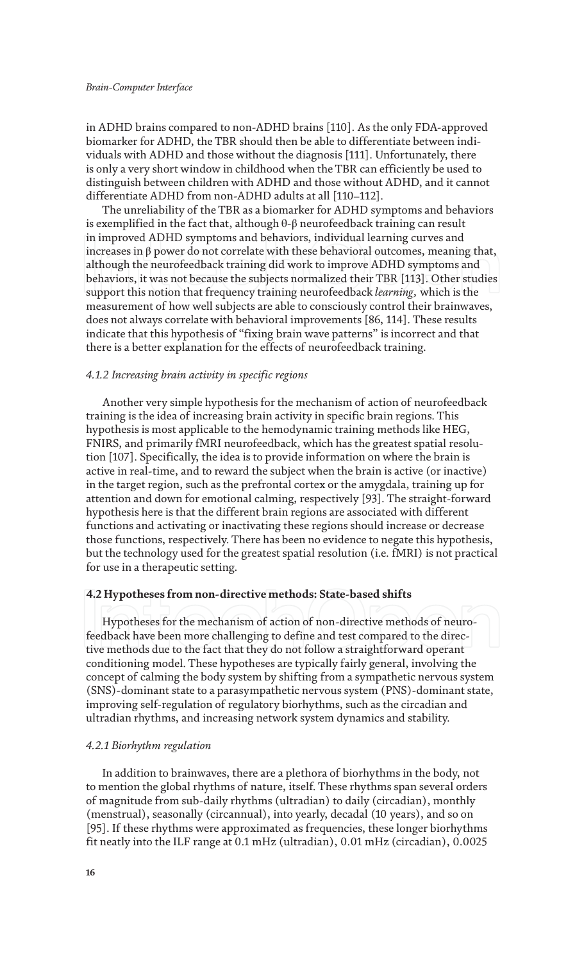in ADHD brains compared to non-ADHD brains [110]. As the only FDA-approved biomarker for ADHD, the TBR should then be able to differentiate between individuals with ADHD and those without the diagnosis [111]. Unfortunately, there is only a very short window in childhood when the TBR can efficiently be used to distinguish between children with ADHD and those without ADHD, and it cannot differentiate ADHD from non-ADHD adults at all [110–112].

The unreliability of the TBR as a biomarker for ADHD symptoms and behaviors is exemplified in the fact that, although  $\theta$ -β neurofeedback training can result in improved ADHD symptoms and behaviors, individual learning curves and increases in β power do not correlate with these behavioral outcomes, meaning that, although the neurofeedback training did work to improve ADHD symptoms and behaviors, it was not because the subjects normalized their TBR [113]. Other studies support this notion that frequency training neurofeedback *learning,* which is the measurement of how well subjects are able to consciously control their brainwaves, does not always correlate with behavioral improvements [86, 114]. These results indicate that this hypothesis of "fixing brain wave patterns" is incorrect and that there is a better explanation for the effects of neurofeedback training.

#### *4.1.2 Increasing brain activity in specific regions*

Another very simple hypothesis for the mechanism of action of neurofeedback training is the idea of increasing brain activity in specific brain regions. This hypothesis is most applicable to the hemodynamic training methods like HEG, FNIRS, and primarily fMRI neurofeedback, which has the greatest spatial resolution [107]. Specifically, the idea is to provide information on where the brain is active in real-time, and to reward the subject when the brain is active (or inactive) in the target region, such as the prefrontal cortex or the amygdala, training up for attention and down for emotional calming, respectively [93]. The straight-forward hypothesis here is that the different brain regions are associated with different functions and activating or inactivating these regions should increase or decrease those functions, respectively. There has been no evidence to negate this hypothesis, but the technology used for the greatest spatial resolution (i.e. fMRI) is not practical for use in a therapeutic setting.

#### **4.2 Hypotheses from non-directive methods: State-based shifts**

Hypotheses for the mechanism of action of non-directive methods of neurofeedback have been more challenging to define and test compared to the directive methods due to the fact that they do not follow a straightforward operant conditioning model. These hypotheses are typically fairly general, involving the concept of calming the body system by shifting from a sympathetic nervous system (SNS)-dominant state to a parasympathetic nervous system (PNS)-dominant state, improving self-regulation of regulatory biorhythms, such as the circadian and ultradian rhythms, and increasing network system dynamics and stability.

#### *4.2.1 Biorhythm regulation*

In addition to brainwaves, there are a plethora of biorhythms in the body, not to mention the global rhythms of nature, itself. These rhythms span several orders of magnitude from sub-daily rhythms (ultradian) to daily (circadian), monthly (menstrual), seasonally (circannual), into yearly, decadal (10 years), and so on [95]. If these rhythms were approximated as frequencies, these longer biorhythms fit neatly into the ILF range at 0.1 mHz (ultradian), 0.01 mHz (circadian), 0.0025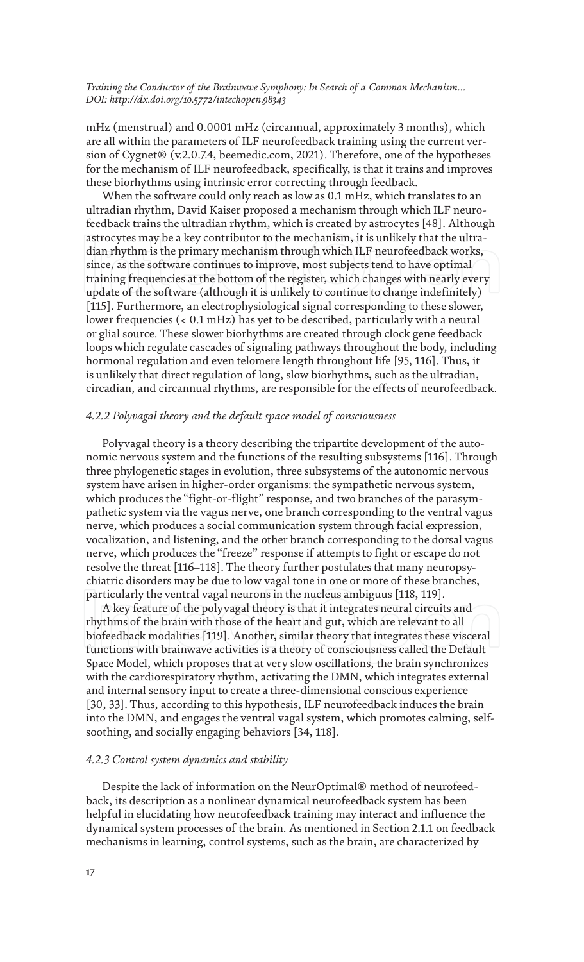mHz (menstrual) and 0.0001 mHz (circannual, approximately 3 months), which are all within the parameters of ILF neurofeedback training using the current version of Cygnet® (v.2.0.7.4, beemedic.com, 2021). Therefore, one of the hypotheses for the mechanism of ILF neurofeedback, specifically, is that it trains and improves these biorhythms using intrinsic error correcting through feedback.

When the software could only reach as low as 0.1 mHz, which translates to an ultradian rhythm, David Kaiser proposed a mechanism through which ILF neurofeedback trains the ultradian rhythm, which is created by astrocytes [48]. Although astrocytes may be a key contributor to the mechanism, it is unlikely that the ultradian rhythm is the primary mechanism through which ILF neurofeedback works, since, as the software continues to improve, most subjects tend to have optimal training frequencies at the bottom of the register, which changes with nearly every update of the software (although it is unlikely to continue to change indefinitely) [115]. Furthermore, an electrophysiological signal corresponding to these slower, lower frequencies (< 0.1 mHz) has yet to be described, particularly with a neural or glial source. These slower biorhythms are created through clock gene feedback loops which regulate cascades of signaling pathways throughout the body, including hormonal regulation and even telomere length throughout life [95, 116]. Thus, it is unlikely that direct regulation of long, slow biorhythms, such as the ultradian, circadian, and circannual rhythms, are responsible for the effects of neurofeedback.

#### *4.2.2 Polyvagal theory and the default space model of consciousness*

Polyvagal theory is a theory describing the tripartite development of the autonomic nervous system and the functions of the resulting subsystems [116]. Through three phylogenetic stages in evolution, three subsystems of the autonomic nervous system have arisen in higher-order organisms: the sympathetic nervous system, which produces the "fight-or-flight" response, and two branches of the parasympathetic system via the vagus nerve, one branch corresponding to the ventral vagus nerve, which produces a social communication system through facial expression, vocalization, and listening, and the other branch corresponding to the dorsal vagus nerve, which produces the "freeze" response if attempts to fight or escape do not resolve the threat [116–118]. The theory further postulates that many neuropsychiatric disorders may be due to low vagal tone in one or more of these branches, particularly the ventral vagal neurons in the nucleus ambiguus [118, 119].

A key feature of the polyvagal theory is that it integrates neural circuits and rhythms of the brain with those of the heart and gut, which are relevant to all biofeedback modalities [119]. Another, similar theory that integrates these visceral functions with brainwave activities is a theory of consciousness called the Default Space Model, which proposes that at very slow oscillations, the brain synchronizes with the cardiorespiratory rhythm, activating the DMN, which integrates external and internal sensory input to create a three-dimensional conscious experience [30, 33]. Thus, according to this hypothesis, ILF neurofeedback induces the brain into the DMN, and engages the ventral vagal system, which promotes calming, selfsoothing, and socially engaging behaviors [34, 118].

#### *4.2.3 Control system dynamics and stability*

Despite the lack of information on the NeurOptimal® method of neurofeedback, its description as a nonlinear dynamical neurofeedback system has been helpful in elucidating how neurofeedback training may interact and influence the dynamical system processes of the brain. As mentioned in Section 2.1.1 on feedback mechanisms in learning, control systems, such as the brain, are characterized by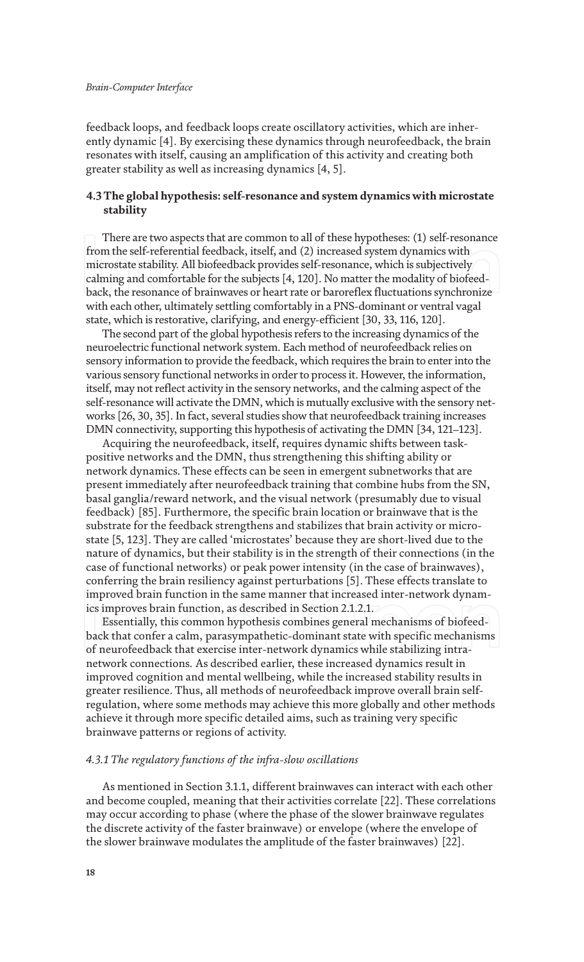feedback loops, and feedback loops create oscillatory activities, which are inherently dynamic [4]. By exercising these dynamics through neurofeedback, the brain resonates with itself, causing an amplification of this activity and creating both greater stability as well as increasing dynamics [4, 5].

## **4.3 The global hypothesis: self-resonance and system dynamics with microstate stability**

There are two aspects that are common to all of these hypotheses: (1) self-resonance from the self-referential feedback, itself, and (2) increased system dynamics with microstate stability. All biofeedback provides self-resonance, which is subjectively calming and comfortable for the subjects [4, 120]. No matter the modality of biofeedback, the resonance of brainwaves or heart rate or baroreflex fluctuations synchronize with each other, ultimately settling comfortably in a PNS-dominant or ventral vagal state, which is restorative, clarifying, and energy-efficient [30, 33, 116, 120].

The second part of the global hypothesis refers to the increasing dynamics of the neuroelectric functional network system. Each method of neurofeedback relies on sensory information to provide the feedback, which requires the brain to enter into the various sensory functional networks in order to process it. However, the information, itself, may not reflect activity in the sensory networks, and the calming aspect of the self-resonance will activate the DMN, which is mutually exclusive with the sensory networks [26, 30, 35]. In fact, several studies show that neurofeedback training increases DMN connectivity, supporting this hypothesis of activating the DMN [34, 121–123].

Acquiring the neurofeedback, itself, requires dynamic shifts between taskpositive networks and the DMN, thus strengthening this shifting ability or network dynamics. These effects can be seen in emergent subnetworks that are present immediately after neurofeedback training that combine hubs from the SN, basal ganglia/reward network, and the visual network (presumably due to visual feedback) [85]. Furthermore, the specific brain location or brainwave that is the substrate for the feedback strengthens and stabilizes that brain activity or microstate [5, 123]. They are called 'microstates' because they are short-lived due to the nature of dynamics, but their stability is in the strength of their connections (in the case of functional networks) or peak power intensity (in the case of brainwaves), conferring the brain resiliency against perturbations [5]. These effects translate to improved brain function in the same manner that increased inter-network dynamics improves brain function, as described in Section 2.1.2.1.

Essentially, this common hypothesis combines general mechanisms of biofeedback that confer a calm, parasympathetic-dominant state with specific mechanisms of neurofeedback that exercise inter-network dynamics while stabilizing intranetwork connections. As described earlier, these increased dynamics result in improved cognition and mental wellbeing, while the increased stability results in greater resilience. Thus, all methods of neurofeedback improve overall brain selfregulation, where some methods may achieve this more globally and other methods achieve it through more specific detailed aims, such as training very specific brainwave patterns or regions of activity.

#### *4.3.1 The regulatory functions of the infra-slow oscillations*

As mentioned in Section 3.1.1, different brainwaves can interact with each other and become coupled, meaning that their activities correlate [22]. These correlations may occur according to phase (where the phase of the slower brainwave regulates the discrete activity of the faster brainwave) or envelope (where the envelope of the slower brainwave modulates the amplitude of the faster brainwaves) [22].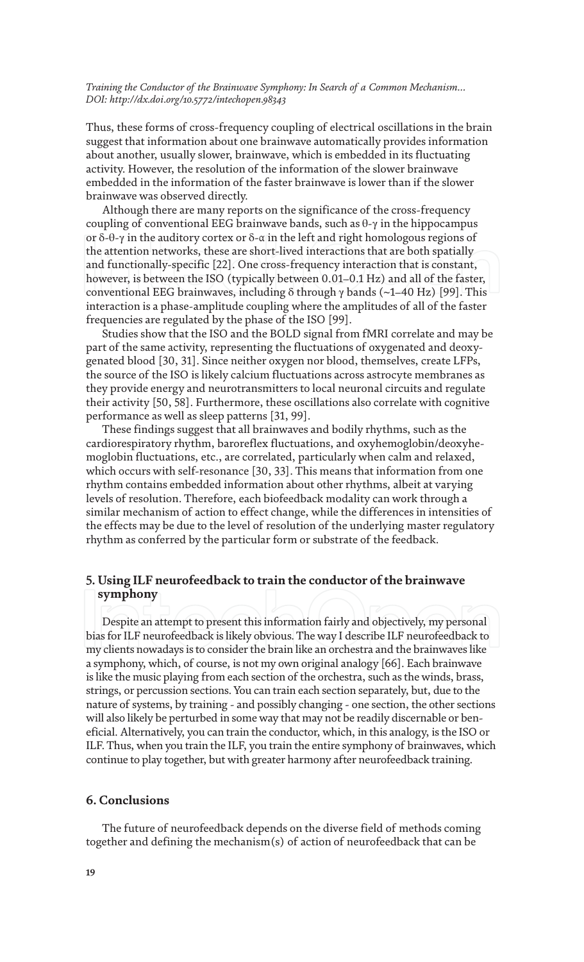Thus, these forms of cross-frequency coupling of electrical oscillations in the brain suggest that information about one brainwave automatically provides information about another, usually slower, brainwave, which is embedded in its fluctuating activity. However, the resolution of the information of the slower brainwave embedded in the information of the faster brainwave is lower than if the slower brainwave was observed directly.

Although there are many reports on the significance of the cross-frequency coupling of conventional EEG brainwave bands, such as  $\theta$ - $\gamma$  in the hippocampus or δ-θ-γ in the auditory cortex or δ-α in the left and right homologous regions of the attention networks, these are short-lived interactions that are both spatially and functionally-specific [22]. One cross-frequency interaction that is constant, however, is between the ISO (typically between 0.01–0.1 Hz) and all of the faster, conventional EEG brainwaves, including δ through γ bands (~1–40 Hz) [99]. This interaction is a phase-amplitude coupling where the amplitudes of all of the faster frequencies are regulated by the phase of the ISO [99].

Studies show that the ISO and the BOLD signal from fMRI correlate and may be part of the same activity, representing the fluctuations of oxygenated and deoxygenated blood [30, 31]. Since neither oxygen nor blood, themselves, create LFPs, the source of the ISO is likely calcium fluctuations across astrocyte membranes as they provide energy and neurotransmitters to local neuronal circuits and regulate their activity [50, 58]. Furthermore, these oscillations also correlate with cognitive performance as well as sleep patterns [31, 99].

These findings suggest that all brainwaves and bodily rhythms, such as the cardiorespiratory rhythm, baroreflex fluctuations, and oxyhemoglobin/deoxyhemoglobin fluctuations, etc., are correlated, particularly when calm and relaxed, which occurs with self-resonance [30, 33]. This means that information from one rhythm contains embedded information about other rhythms, albeit at varying levels of resolution. Therefore, each biofeedback modality can work through a similar mechanism of action to effect change, while the differences in intensities of the effects may be due to the level of resolution of the underlying master regulatory rhythm as conferred by the particular form or substrate of the feedback.

# **5. Using ILF neurofeedback to train the conductor of the brainwave symphony**

Despite an attempt to present this information fairly and objectively, my personal bias for ILF neurofeedback is likely obvious. The way I describe ILF neurofeedback to my clients nowadays is to consider the brain like an orchestra and the brainwaves like a symphony, which, of course, is not my own original analogy [66]. Each brainwave is like the music playing from each section of the orchestra, such as the winds, brass, strings, or percussion sections. You can train each section separately, but, due to the nature of systems, by training - and possibly changing - one section, the other sections will also likely be perturbed in some way that may not be readily discernable or beneficial. Alternatively, you can train the conductor, which, in this analogy, is the ISO or ILF. Thus, when you train the ILF, you train the entire symphony of brainwaves, which continue to play together, but with greater harmony after neurofeedback training.

## **6. Conclusions**

The future of neurofeedback depends on the diverse field of methods coming together and defining the mechanism(s) of action of neurofeedback that can be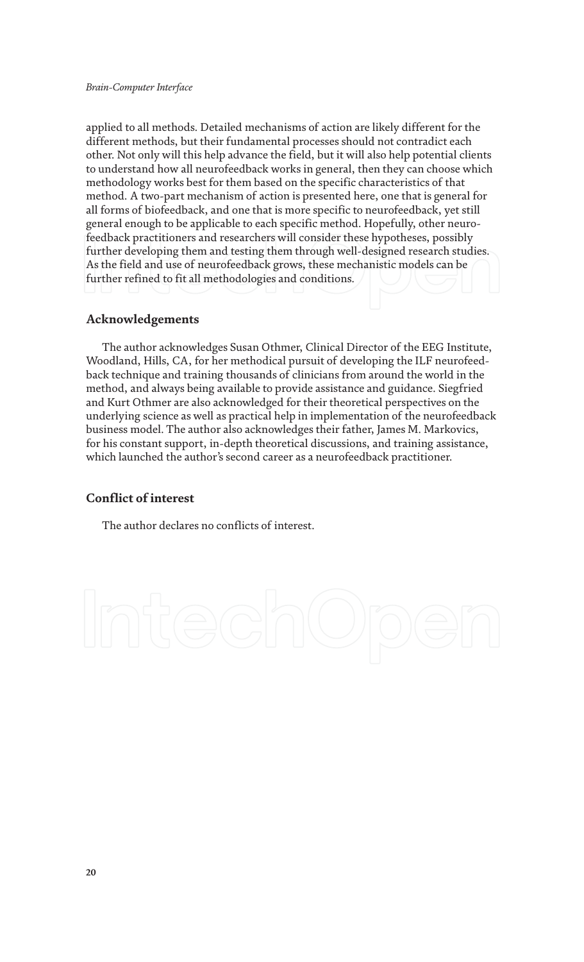applied to all methods. Detailed mechanisms of action are likely different for the different methods, but their fundamental processes should not contradict each other. Not only will this help advance the field, but it will also help potential clients to understand how all neurofeedback works in general, then they can choose which methodology works best for them based on the specific characteristics of that method. A two-part mechanism of action is presented here, one that is general for all forms of biofeedback, and one that is more specific to neurofeedback, yet still general enough to be applicable to each specific method. Hopefully, other neurofeedback practitioners and researchers will consider these hypotheses, possibly further developing them and testing them through well-designed research studies. As the field and use of neurofeedback grows, these mechanistic models can be further refined to fit all methodologies and conditions.

# **Acknowledgements**

The author acknowledges Susan Othmer, Clinical Director of the EEG Institute, Woodland, Hills, CA, for her methodical pursuit of developing the ILF neurofeedback technique and training thousands of clinicians from around the world in the method, and always being available to provide assistance and guidance. Siegfried and Kurt Othmer are also acknowledged for their theoretical perspectives on the underlying science as well as practical help in implementation of the neurofeedback business model. The author also acknowledges their father, James M. Markovics, for his constant support, in-depth theoretical discussions, and training assistance, which launched the author's second career as a neurofeedback practitioner.

# **Conflict of interest**

The author declares no conflicts of interest.

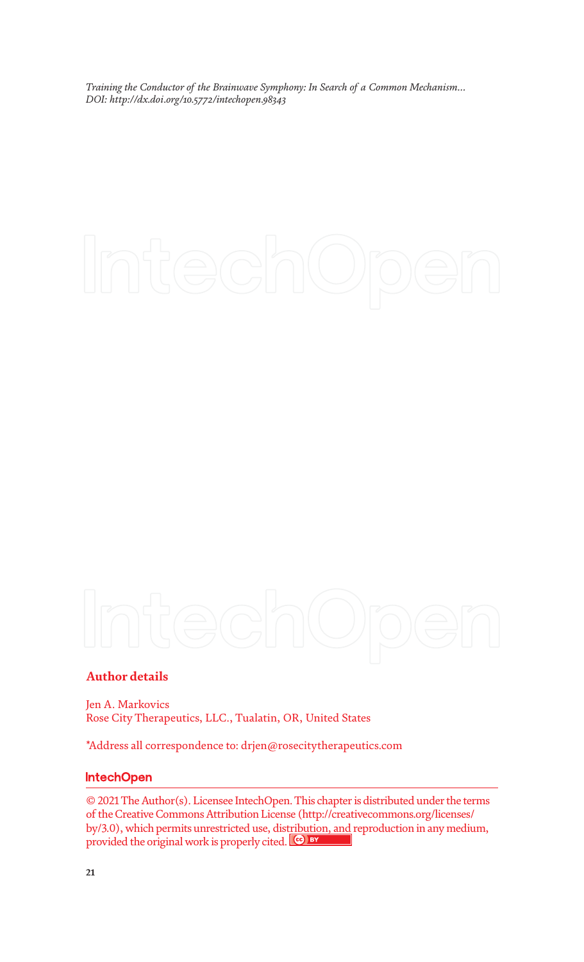# **Author details**

Jen A. Markovics Rose City Therapeutics, LLC., Tualatin, OR, United States

\*Address all correspondence to: drjen@rosecitytherapeutics.com

# **IntechOpen**

© 2021 The Author(s). Licensee IntechOpen. This chapter is distributed under the terms of the Creative Commons Attribution License (http://creativecommons.org/licenses/ by/3.0), which permits unrestricted use, distribution, and reproduction in any medium, provided the original work is properly cited.  $\left[\infty\right]$  by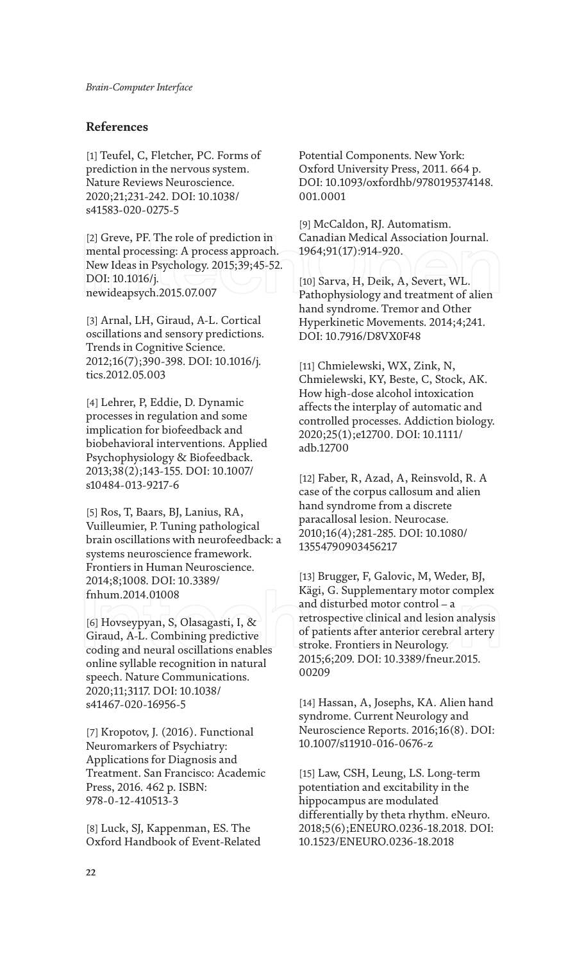# **References**

[1] Teufel, C, Fletcher, PC. Forms of prediction in the nervous system. Nature Reviews Neuroscience. 2020;21;231-242. DOI: 10.1038/ s41583-020-0275-5

[2] Greve, PF. The role of prediction in mental processing: A process approach. New Ideas in Psychology. 2015;39;45-52. DOI: 10.1016/j. newideapsych.2015.07.007

[3] Arnal, LH, Giraud, A-L. Cortical oscillations and sensory predictions. Trends in Cognitive Science. 2012;16(7);390-398. DOI: 10.1016/j. tics.2012.05.003

[4] Lehrer, P, Eddie, D. Dynamic processes in regulation and some implication for biofeedback and biobehavioral interventions. Applied Psychophysiology & Biofeedback. 2013;38(2);143-155. DOI: 10.1007/ s10484-013-9217-6

[5] Ros, T, Baars, BJ, Lanius, RA, Vuilleumier, P. Tuning pathological brain oscillations with neurofeedback: a systems neuroscience framework. Frontiers in Human Neuroscience. 2014;8;1008. DOI: 10.3389/ fnhum.2014.01008

[6] Hovseypyan, S, Olasagasti, I, & Giraud, A-L. Combining predictive coding and neural oscillations enables online syllable recognition in natural speech. Nature Communications. 2020;11;3117. DOI: 10.1038/ s41467-020-16956-5

[7] Kropotov, J. (2016). Functional Neuromarkers of Psychiatry: Applications for Diagnosis and Treatment. San Francisco: Academic Press, 2016. 462 p. ISBN: 978-0-12-410513-3

[8] Luck, SJ, Kappenman, ES. The Oxford Handbook of Event-Related Potential Components. New York: Oxford University Press, 2011. 664 p. DOI: 10.1093/oxfordhb/9780195374148. 001.0001

[9] McCaldon, RJ. Automatism. Canadian Medical Association Journal. 1964;91(17):914-920.

[10] Sarva, H, Deik, A, Severt, WL. Pathophysiology and treatment of alien hand syndrome. Tremor and Other Hyperkinetic Movements. 2014;4;241. DOI: 10.7916/D8VX0F48

[11] Chmielewski, WX, Zink, N, Chmielewski, KY, Beste, C, Stock, AK. How high-dose alcohol intoxication affects the interplay of automatic and controlled processes. Addiction biology. 2020;25(1);e12700. DOI: 10.1111/ adb.12700

[12] Faber, R, Azad, A, Reinsvold, R. A case of the corpus callosum and alien hand syndrome from a discrete paracallosal lesion. Neurocase. 2010;16(4);281-285. DOI: 10.1080/ 13554790903456217

[13] Brugger, F, Galovic, M, Weder, BJ, Kägi, G. Supplementary motor complex and disturbed motor control – a retrospective clinical and lesion analysis of patients after anterior cerebral artery stroke. Frontiers in Neurology. 2015;6;209. DOI: 10.3389/fneur.2015. 00209

[14] Hassan, A, Josephs, KA. Alien hand syndrome. Current Neurology and Neuroscience Reports. 2016;16(8). DOI: 10.1007/s11910-016-0676-z

[15] Law, CSH, Leung, LS. Long-term potentiation and excitability in the hippocampus are modulated differentially by theta rhythm. eNeuro. 2018;5(6);ENEURO.0236-18.2018. DOI: 10.1523/ENEURO.0236-18.2018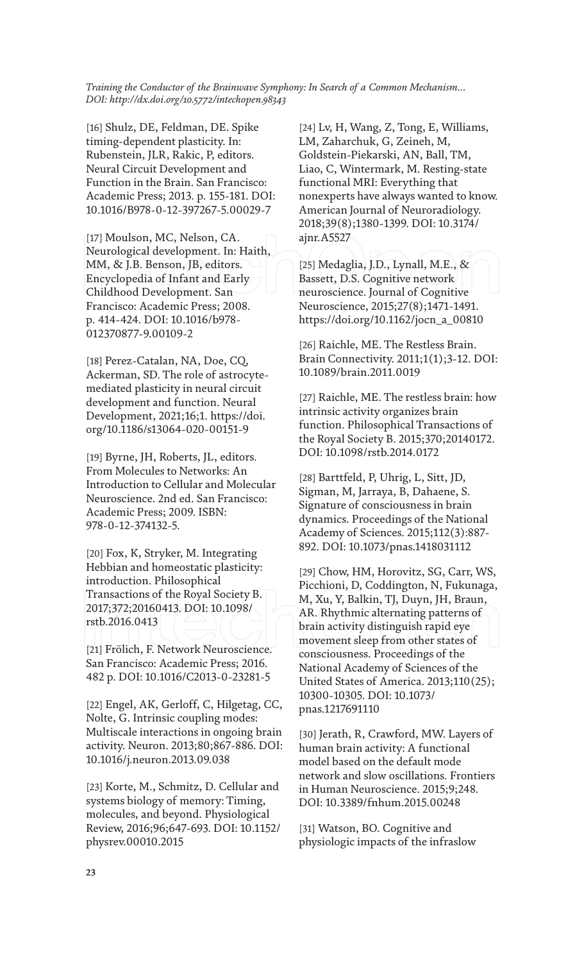[16] Shulz, DE, Feldman, DE. Spike timing-dependent plasticity. In: Rubenstein, JLR, Rakic, P, editors. Neural Circuit Development and Function in the Brain. San Francisco: Academic Press; 2013. p. 155-181. DOI: 10.1016/B978-0-12-397267-5.00029-7

[17] Moulson, MC, Nelson, CA. Neurological development. In: Haith, MM, & J.B. Benson, JB, editors. Encyclopedia of Infant and Early Childhood Development. San Francisco: Academic Press; 2008. p. 414-424. DOI: 10.1016/b978- 012370877-9.00109-2

[18] Perez-Catalan, NA, Doe, CQ, Ackerman, SD. The role of astrocytemediated plasticity in neural circuit development and function. Neural Development, 2021;16;1. https://doi. org/10.1186/s13064-020-00151-9

[19] Byrne, JH, Roberts, JL, editors. From Molecules to Networks: An Introduction to Cellular and Molecular Neuroscience. 2nd ed. San Francisco: Academic Press; 2009. ISBN: 978-0-12-374132-5.

[20] Fox, K, Stryker, M. Integrating Hebbian and homeostatic plasticity: introduction. Philosophical Transactions of the Royal Society B. 2017;372;20160413. DOI: 10.1098/ rstb.2016.0413

[21] Frölich, F. Network Neuroscience. San Francisco: Academic Press; 2016. 482 p. DOI: 10.1016/C2013-0-23281-5

[22] Engel, AK, Gerloff, C, Hilgetag, CC, Nolte, G. Intrinsic coupling modes: Multiscale interactions in ongoing brain activity. Neuron. 2013;80;867-886. DOI: 10.1016/j.neuron.2013.09.038

[23] Korte, M., Schmitz, D. Cellular and systems biology of memory: Timing, molecules, and beyond. Physiological Review, 2016;96;647-693. DOI: 10.1152/ physrev.00010.2015

[24] Lv, H, Wang, Z, Tong, E, Williams, LM, Zaharchuk, G, Zeineh, M, Goldstein-Piekarski, AN, Ball, TM, Liao, C, Wintermark, M. Resting-state functional MRI: Everything that nonexperts have always wanted to know. American Journal of Neuroradiology. 2018;39(8);1380-1399. DOI: 10.3174/ ajnr.A5527

[25] Medaglia, J.D., Lynall, M.E., & Bassett, D.S. Cognitive network neuroscience. Journal of Cognitive Neuroscience, 2015;27(8);1471-1491. https://doi.org/10.1162/jocn\_a\_00810

[26] Raichle, ME. The Restless Brain. Brain Connectivity. 2011;1(1);3-12. DOI: 10.1089/brain.2011.0019

[27] Raichle, ME. The restless brain: how intrinsic activity organizes brain function. Philosophical Transactions of the Royal Society B. 2015;370;20140172. DOI: 10.1098/rstb.2014.0172

[28] Barttfeld, P, Uhrig, L, Sitt, JD, Sigman, M, Jarraya, B, Dahaene, S. Signature of consciousness in brain dynamics. Proceedings of the National Academy of Sciences. 2015;112(3):887- 892. DOI: 10.1073/pnas.1418031112

[29] Chow, HM, Horovitz, SG, Carr, WS, Picchioni, D, Coddington, N, Fukunaga, M, Xu, Y, Balkin, TJ, Duyn, JH, Braun, AR. Rhythmic alternating patterns of brain activity distinguish rapid eye movement sleep from other states of consciousness. Proceedings of the National Academy of Sciences of the United States of America. 2013;110(25); 10300-10305. DOI: 10.1073/ pnas.1217691110

[30] Jerath, R, Crawford, MW. Layers of human brain activity: A functional model based on the default mode network and slow oscillations. Frontiers in Human Neuroscience. 2015;9;248. DOI: 10.3389/fnhum.2015.00248

[31] Watson, BO. Cognitive and physiologic impacts of the infraslow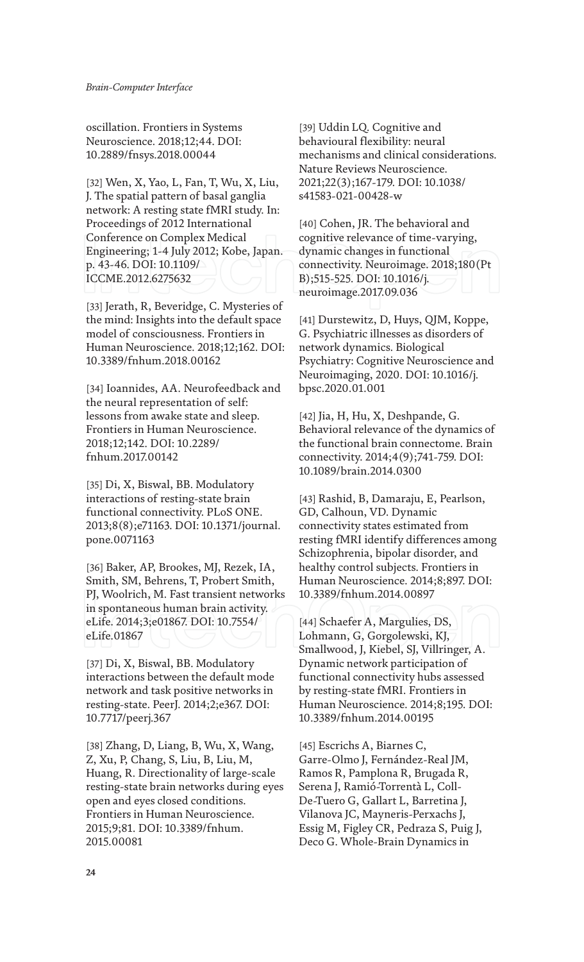oscillation. Frontiers in Systems Neuroscience. 2018;12;44. DOI: 10.2889/fnsys.2018.00044

[32] Wen, X, Yao, L, Fan, T, Wu, X, Liu, J. The spatial pattern of basal ganglia network: A resting state fMRI study. In: Proceedings of 2012 International Conference on Complex Medical Engineering; 1-4 July 2012; Kobe, Japan. p. 43-46. DOI: 10.1109/ ICCME.2012.6275632

[33] Jerath, R, Beveridge, C. Mysteries of the mind: Insights into the default space model of consciousness. Frontiers in Human Neuroscience. 2018;12;162. DOI: 10.3389/fnhum.2018.00162

[34] Ioannides, AA. Neurofeedback and the neural representation of self: lessons from awake state and sleep. Frontiers in Human Neuroscience. 2018;12;142. DOI: 10.2289/ fnhum.2017.00142

[35] Di, X, Biswal, BB. Modulatory interactions of resting-state brain functional connectivity. PLoS ONE. 2013;8(8);e71163. DOI: 10.1371/journal. pone.0071163

[36] Baker, AP, Brookes, MJ, Rezek, IA, Smith, SM, Behrens, T, Probert Smith, PJ, Woolrich, M. Fast transient networks in spontaneous human brain activity. eLife. 2014;3;e01867. DOI: 10.7554/ eLife.01867

[37] Di, X, Biswal, BB. Modulatory interactions between the default mode network and task positive networks in resting-state. PeerJ. 2014;2;e367. DOI: 10.7717/peerj.367

[38] Zhang, D, Liang, B, Wu, X, Wang, Z, Xu, P, Chang, S, Liu, B, Liu, M, Huang, R. Directionality of large-scale resting-state brain networks during eyes open and eyes closed conditions. Frontiers in Human Neuroscience. 2015;9;81. DOI: 10.3389/fnhum. 2015.00081

[39] Uddin LQ. Cognitive and behavioural flexibility: neural mechanisms and clinical considerations. Nature Reviews Neuroscience. 2021;22(3);167-179. DOI: 10.1038/ s41583-021-00428-w

[40] Cohen, JR. The behavioral and cognitive relevance of time-varying, dynamic changes in functional connectivity. Neuroimage. 2018;180(Pt B);515-525. DOI: 10.1016/j. neuroimage.2017.09.036

[41] Durstewitz, D, Huys, QJM, Koppe, G. Psychiatric illnesses as disorders of network dynamics. Biological Psychiatry: Cognitive Neuroscience and Neuroimaging, 2020. DOI: 10.1016/j. bpsc.2020.01.001

[42] Jia, H, Hu, X, Deshpande, G. Behavioral relevance of the dynamics of the functional brain connectome. Brain connectivity. 2014;4(9);741-759. DOI: 10.1089/brain.2014.0300

[43] Rashid, B, Damaraju, E, Pearlson, GD, Calhoun, VD. Dynamic connectivity states estimated from resting fMRI identify differences among Schizophrenia, bipolar disorder, and healthy control subjects. Frontiers in Human Neuroscience. 2014;8;897. DOI: 10.3389/fnhum.2014.00897

[44] Schaefer A, Margulies, DS, Lohmann, G, Gorgolewski, KJ, Smallwood, J, Kiebel, SJ, Villringer, A. Dynamic network participation of functional connectivity hubs assessed by resting-state fMRI. Frontiers in Human Neuroscience. 2014;8;195. DOI: 10.3389/fnhum.2014.00195

[45] Escrichs A, Biarnes C, Garre-Olmo J, Fernández-Real JM, Ramos R, Pamplona R, Brugada R, Serena J, Ramió-Torrentà L, Coll-De-Tuero G, Gallart L, Barretina J, Vilanova JC, Mayneris-Perxachs J, Essig M, Figley CR, Pedraza S, Puig J, Deco G. Whole-Brain Dynamics in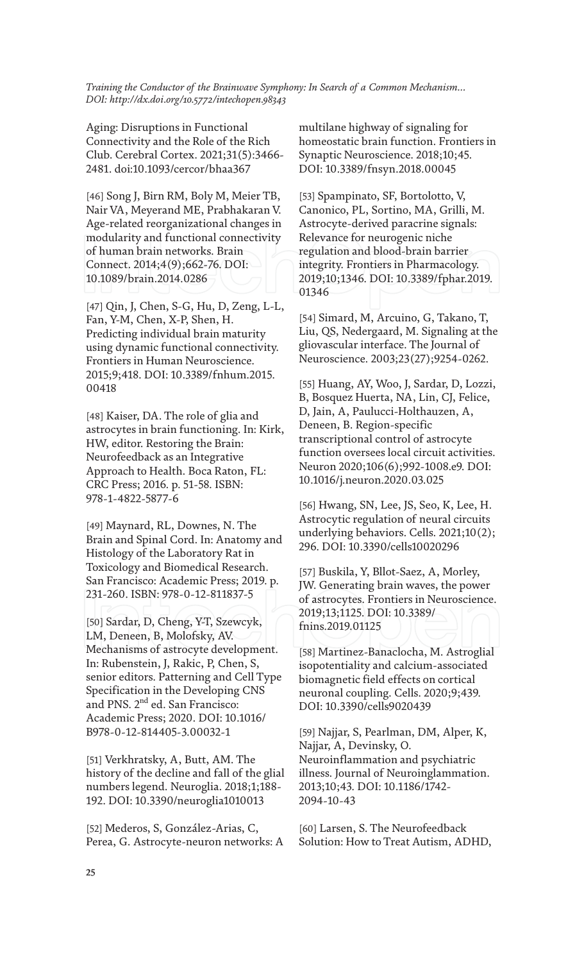Aging: Disruptions in Functional Connectivity and the Role of the Rich Club. Cerebral Cortex. 2021;31(5):3466- 2481. doi:10.1093/cercor/bhaa367

[46] Song J, Birn RM, Boly M, Meier TB, Nair VA, Meyerand ME, Prabhakaran V. Age-related reorganizational changes in modularity and functional connectivity of human brain networks. Brain Connect. 2014;4(9);662-76. DOI: 10.1089/brain.2014.0286

[47] Qin, J, Chen, S-G, Hu, D, Zeng, L-L, Fan, Y-M, Chen, X-P, Shen, H. Predicting individual brain maturity using dynamic functional connectivity. Frontiers in Human Neuroscience. 2015;9;418. DOI: 10.3389/fnhum.2015. 00418

[48] Kaiser, DA. The role of glia and astrocytes in brain functioning. In: Kirk, HW, editor. Restoring the Brain: Neurofeedback as an Integrative Approach to Health. Boca Raton, FL: CRC Press; 2016. p. 51-58. ISBN: 978-1-4822-5877-6

[49] Maynard, RL, Downes, N. The Brain and Spinal Cord. In: Anatomy and Histology of the Laboratory Rat in Toxicology and Biomedical Research. San Francisco: Academic Press; 2019. p. 231-260. ISBN: 978-0-12-811837-5

[50] Sardar, D, Cheng, Y-T, Szewcyk, LM, Deneen, B, Molofsky, AV. Mechanisms of astrocyte development. In: Rubenstein, J, Rakic, P, Chen, S, senior editors. Patterning and Cell Type Specification in the Developing CNS and PNS. 2<sup>nd</sup> ed. San Francisco: Academic Press; 2020. DOI: 10.1016/ B978-0-12-814405-3.00032-1

[51] Verkhratsky, A, Butt, AM. The history of the decline and fall of the glial numbers legend. Neuroglia. 2018;1;188- 192. DOI: 10.3390/neuroglia1010013

[52] Mederos, S, González-Arias, C, Perea, G. Astrocyte-neuron networks: A multilane highway of signaling for homeostatic brain function. Frontiers in Synaptic Neuroscience. 2018;10;45. DOI: 10.3389/fnsyn.2018.00045

[53] Spampinato, SF, Bortolotto, V, Canonico, PL, Sortino, MA, Grilli, M. Astrocyte-derived paracrine signals: Relevance for neurogenic niche regulation and blood-brain barrier integrity. Frontiers in Pharmacology. 2019;10;1346. DOI: 10.3389/fphar.2019. 01346

[54] Simard, M, Arcuino, G, Takano, T, Liu, QS, Nedergaard, M. Signaling at the gliovascular interface. The Journal of Neuroscience. 2003;23(27);9254-0262.

[55] Huang, AY, Woo, J, Sardar, D, Lozzi, B, Bosquez Huerta, NA, Lin, CJ, Felice, D, Jain, A, Paulucci-Holthauzen, A, Deneen, B. Region-specific transcriptional control of astrocyte function oversees local circuit activities. Neuron 2020;106(6);992-1008.e9. DOI: 10.1016/j.neuron.2020.03.025

[56] Hwang, SN, Lee, JS, Seo, K, Lee, H. Astrocytic regulation of neural circuits underlying behaviors. Cells. 2021;10(2); 296. DOI: 10.3390/cells10020296

[57] Buskila, Y, Bllot-Saez, A, Morley, JW. Generating brain waves, the power of astrocytes. Frontiers in Neuroscience. 2019;13;1125. DOI: 10.3389/ fnins.2019.01125

[58] Martinez-Banaclocha, M. Astroglial isopotentiality and calcium-associated biomagnetic field effects on cortical neuronal coupling. Cells. 2020;9;439. DOI: 10.3390/cells9020439

[59] Najjar, S, Pearlman, DM, Alper, K, Najjar, A, Devinsky, O. Neuroinflammation and psychiatric illness. Journal of Neuroinglammation. 2013;10;43. DOI: 10.1186/1742- 2094-10-43

[60] Larsen, S. The Neurofeedback Solution: How to Treat Autism, ADHD,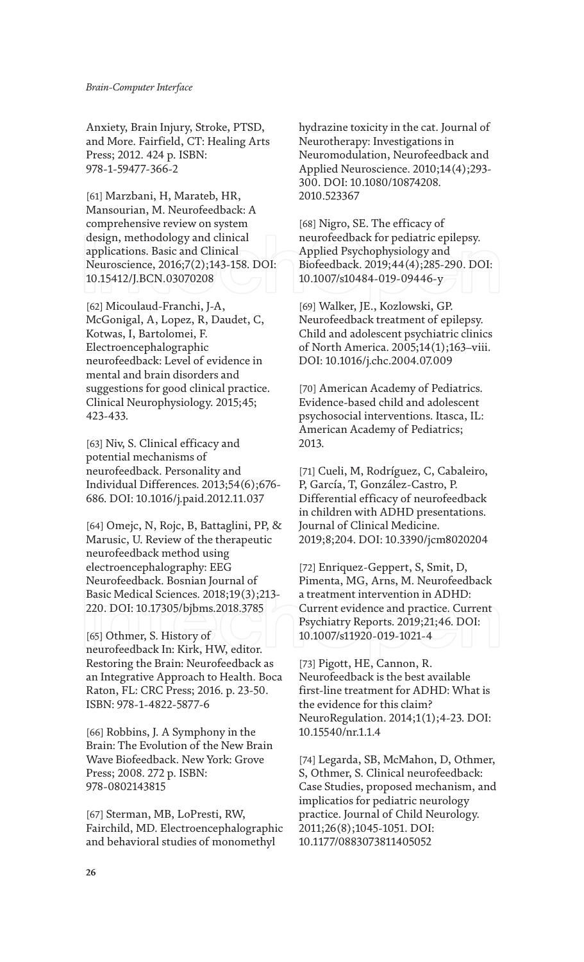Anxiety, Brain Injury, Stroke, PTSD, and More. Fairfield, CT: Healing Arts Press; 2012. 424 p. ISBN: 978-1-59477-366-2

[61] Marzbani, H, Marateb, HR, Mansourian, M. Neurofeedback: A comprehensive review on system design, methodology and clinical applications. Basic and Clinical Neuroscience, 2016;7(2);143-158. DOI: 10.15412/J.BCN.03070208

[62] Micoulaud-Franchi, J-A, McGonigal, A, Lopez, R, Daudet, C, Kotwas, I, Bartolomei, F. Electroencephalographic neurofeedback: Level of evidence in mental and brain disorders and suggestions for good clinical practice. Clinical Neurophysiology. 2015;45; 423-433.

[63] Niv, S. Clinical efficacy and potential mechanisms of neurofeedback. Personality and Individual Differences. 2013;54(6);676- 686. DOI: 10.1016/j.paid.2012.11.037

[64] Omejc, N, Rojc, B, Battaglini, PP, & Marusic, U. Review of the therapeutic neurofeedback method using electroencephalography: EEG Neurofeedback. Bosnian Journal of Basic Medical Sciences. 2018;19(3);213- 220. DOI: 10.17305/bjbms.2018.3785

[65] Othmer, S. History of neurofeedback In: Kirk, HW, editor. Restoring the Brain: Neurofeedback as an Integrative Approach to Health. Boca Raton, FL: CRC Press; 2016. p. 23-50. ISBN: 978-1-4822-5877-6

[66] Robbins, J. A Symphony in the Brain: The Evolution of the New Brain Wave Biofeedback. New York: Grove Press; 2008. 272 p. ISBN: 978-0802143815

[67] Sterman, MB, LoPresti, RW, Fairchild, MD. Electroencephalographic and behavioral studies of monomethyl

hydrazine toxicity in the cat. Journal of Neurotherapy: Investigations in Neuromodulation, Neurofeedback and Applied Neuroscience. 2010;14(4);293- 300. DOI: 10.1080/10874208. 2010.523367

[68] Nigro, SE. The efficacy of neurofeedback for pediatric epilepsy. Applied Psychophysiology and Biofeedback. 2019;44(4);285-290. DOI: 10.1007/s10484-019-09446-y

[69] Walker, JE., Kozlowski, GP. Neurofeedback treatment of epilepsy. Child and adolescent psychiatric clinics of North America. 2005;14(1);163–viii. DOI: 10.1016/j.chc.2004.07.009

[70] American Academy of Pediatrics. Evidence-based child and adolescent psychosocial interventions. Itasca, IL: American Academy of Pediatrics; 2013.

[71] Cueli, M, Rodríguez, C, Cabaleiro, P, García, T, González-Castro, P. Differential efficacy of neurofeedback in children with ADHD presentations. Journal of Clinical Medicine. 2019;8;204. DOI: 10.3390/jcm8020204

[72] Enriquez-Geppert, S, Smit, D, Pimenta, MG, Arns, M. Neurofeedback a treatment intervention in ADHD: Current evidence and practice. Current Psychiatry Reports. 2019;21;46. DOI: 10.1007/s11920-019-1021-4

[73] Pigott, HE, Cannon, R. Neurofeedback is the best available first-line treatment for ADHD: What is the evidence for this claim? NeuroRegulation. 2014;1(1);4-23. DOI: 10.15540/nr.1.1.4

[74] Legarda, SB, McMahon, D, Othmer, S, Othmer, S. Clinical neurofeedback: Case Studies, proposed mechanism, and implicatios for pediatric neurology practice. Journal of Child Neurology. 2011;26(8);1045-1051. DOI: 10.1177/0883073811405052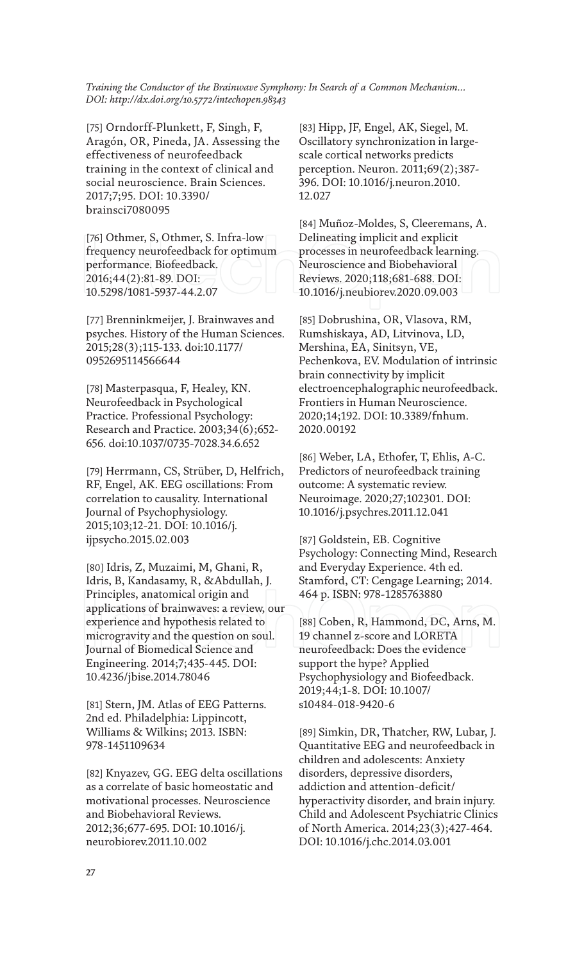[75] Orndorff-Plunkett, F, Singh, F, Aragón, OR, Pineda, JA. Assessing the effectiveness of neurofeedback training in the context of clinical and social neuroscience. Brain Sciences. 2017;7;95. DOI: 10.3390/ brainsci7080095

[76] Othmer, S, Othmer, S. Infra-low frequency neurofeedback for optimum performance. Biofeedback. 2016;44(2):81-89. DOI: 10.5298/1081-5937-44.2.07

[77] Brenninkmeijer, J. Brainwaves and psyches. History of the Human Sciences. 2015;28(3);115-133. doi:10.1177/ 0952695114566644

[78] Masterpasqua, F, Healey, KN. Neurofeedback in Psychological Practice. Professional Psychology: Research and Practice. 2003;34(6);652- 656. doi:10.1037/0735-7028.34.6.652

[79] Herrmann, CS, Strüber, D, Helfrich, RF, Engel, AK. EEG oscillations: From correlation to causality. International Journal of Psychophysiology. 2015;103;12-21. DOI: 10.1016/j. ijpsycho.2015.02.003

[80] Idris, Z, Muzaimi, M, Ghani, R, Idris, B, Kandasamy, R, &Abdullah, J. Principles, anatomical origin and applications of brainwaves: a review, our experience and hypothesis related to microgravity and the question on soul. Journal of Biomedical Science and Engineering. 2014;7;435-445. DOI: 10.4236/jbise.2014.78046

[81] Stern, JM. Atlas of EEG Patterns. 2nd ed. Philadelphia: Lippincott, Williams & Wilkins; 2013. ISBN: 978-1451109634

[82] Knyazev, GG. EEG delta oscillations as a correlate of basic homeostatic and motivational processes. Neuroscience and Biobehavioral Reviews. 2012;36;677-695. DOI: 10.1016/j. neurobiorev.2011.10.002

[83] Hipp, JF, Engel, AK, Siegel, M. Oscillatory synchronization in largescale cortical networks predicts perception. Neuron. 2011;69(2);387- 396. DOI: 10.1016/j.neuron.2010. 12.027

[84] Muñoz-Moldes, S, Cleeremans, A. Delineating implicit and explicit processes in neurofeedback learning. Neuroscience and Biobehavioral Reviews. 2020;118;681-688. DOI: 10.1016/j.neubiorev.2020.09.003

[85] Dobrushina, OR, Vlasova, RM, Rumshiskaya, AD, Litvinova, LD, Mershina, EA, Sinitsyn, VE, Pechenkova, EV. Modulation of intrinsic brain connectivity by implicit electroencephalographic neurofeedback. Frontiers in Human Neuroscience. 2020;14;192. DOI: 10.3389/fnhum. 2020.00192

[86] Weber, LA, Ethofer, T, Ehlis, A-C. Predictors of neurofeedback training outcome: A systematic review. Neuroimage. 2020;27;102301. DOI: 10.1016/j.psychres.2011.12.041

[87] Goldstein, EB. Cognitive Psychology: Connecting Mind, Research and Everyday Experience. 4th ed. Stamford, CT: Cengage Learning; 2014. 464 p. ISBN: 978-1285763880

[88] Coben, R, Hammond, DC, Arns, M. 19 channel z-score and LORETA neurofeedback: Does the evidence support the hype? Applied Psychophysiology and Biofeedback. 2019;44;1-8. DOI: 10.1007/ s10484-018-9420-6

[89] Simkin, DR, Thatcher, RW, Lubar, J. Quantitative EEG and neurofeedback in children and adolescents: Anxiety disorders, depressive disorders, addiction and attention-deficit/ hyperactivity disorder, and brain injury. Child and Adolescent Psychiatric Clinics of North America. 2014;23(3);427-464. DOI: 10.1016/j.chc.2014.03.001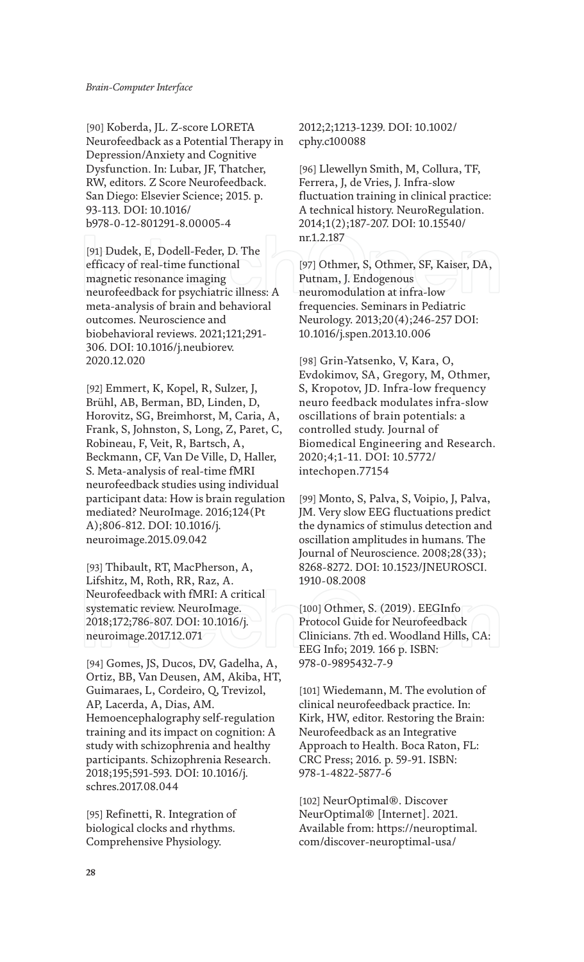[90] Koberda, JL. Z-score LORETA Neurofeedback as a Potential Therapy in Depression/Anxiety and Cognitive Dysfunction. In: Lubar, JF, Thatcher, RW, editors. Z Score Neurofeedback. San Diego: Elsevier Science; 2015. p. 93-113. DOI: 10.1016/ b978-0-12-801291-8.00005-4

[91] Dudek, E, Dodell-Feder, D. The efficacy of real-time functional magnetic resonance imaging neurofeedback for psychiatric illness: A meta-analysis of brain and behavioral outcomes. Neuroscience and biobehavioral reviews. 2021;121;291- 306. DOI: 10.1016/j.neubiorev. 2020.12.020

[92] Emmert, K, Kopel, R, Sulzer, J, Brühl, AB, Berman, BD, Linden, D, Horovitz, SG, Breimhorst, M, Caria, A, Frank, S, Johnston, S, Long, Z, Paret, C, Robineau, F, Veit, R, Bartsch, A, Beckmann, CF, Van De Ville, D, Haller, S. Meta-analysis of real-time fMRI neurofeedback studies using individual participant data: How is brain regulation mediated? NeuroImage. 2016;124(Pt A);806-812. DOI: 10.1016/j. neuroimage.2015.09.042

[93] Thibault, RT, MacPherson, A, Lifshitz, M, Roth, RR, Raz, A. Neurofeedback with fMRI: A critical systematic review. NeuroImage. 2018;172;786-807. DOI: 10.1016/j. neuroimage.2017.12.071

[94] Gomes, JS, Ducos, DV, Gadelha, A, Ortiz, BB, Van Deusen, AM, Akiba, HT, Guimaraes, L, Cordeiro, Q, Trevizol, AP, Lacerda, A, Dias, AM. Hemoencephalography self-regulation training and its impact on cognition: A study with schizophrenia and healthy participants. Schizophrenia Research. 2018;195;591-593. DOI: 10.1016/j. schres.2017.08.044

[95] Refinetti, R. Integration of biological clocks and rhythms. Comprehensive Physiology.

2012;2;1213-1239. DOI: 10.1002/ cphy.c100088

[96] Llewellyn Smith, M, Collura, TF, Ferrera, J, de Vries, J. Infra-slow fluctuation training in clinical practice: A technical history. NeuroRegulation. 2014;1(2);187-207. DOI: 10.15540/ nr.1.2.187

[97] Othmer, S, Othmer, SF, Kaiser, DA, Putnam, J. Endogenous neuromodulation at infra-low frequencies. Seminars in Pediatric Neurology. 2013;20(4);246-257 DOI: 10.1016/j.spen.2013.10.006

[98] Grin-Yatsenko, V, Kara, O, Evdokimov, SA, Gregory, M, Othmer, S, Kropotov, JD. Infra-low frequency neuro feedback modulates infra-slow oscillations of brain potentials: a controlled study. Journal of Biomedical Engineering and Research. 2020;4;1-11. DOI: 10.5772/ intechopen.77154

[99] Monto, S, Palva, S, Voipio, J, Palva, JM. Very slow EEG fluctuations predict the dynamics of stimulus detection and oscillation amplitudes in humans. The Journal of Neuroscience. 2008;28(33); 8268-8272. DOI: 10.1523/JNEUROSCI. 1910-08.2008

[100] Othmer, S. (2019). EEGInfo Protocol Guide for Neurofeedback Clinicians. 7th ed. Woodland Hills, CA: EEG Info; 2019. 166 p. ISBN: 978-0-9895432-7-9

[101] Wiedemann, M. The evolution of clinical neurofeedback practice. In: Kirk, HW, editor. Restoring the Brain: Neurofeedback as an Integrative Approach to Health. Boca Raton, FL: CRC Press; 2016. p. 59-91. ISBN: 978-1-4822-5877-6

[102] NeurOptimal®. Discover NeurOptimal® [Internet]. 2021. Available from: https://neuroptimal. com/discover-neuroptimal-usa/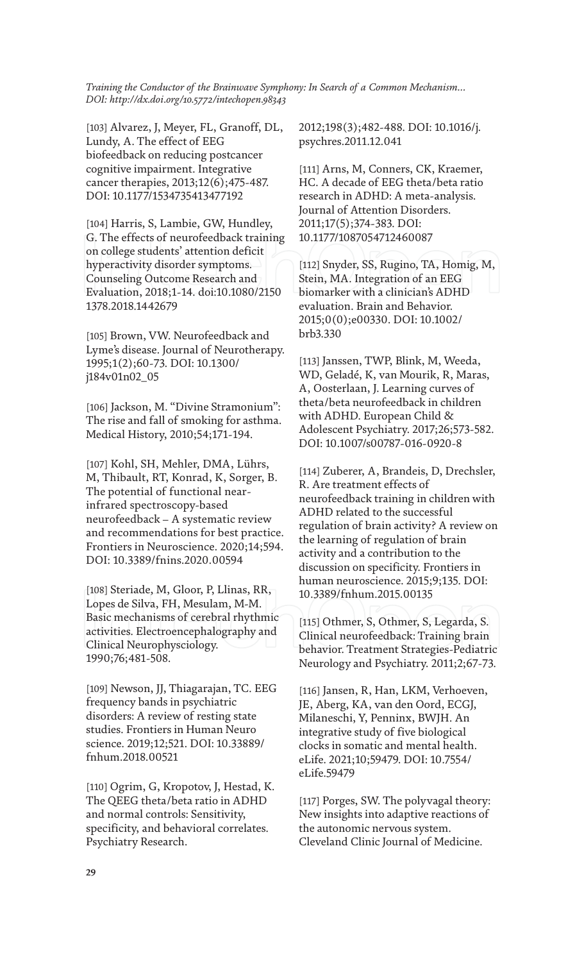[103] Alvarez, J, Meyer, FL, Granoff, DL, Lundy, A. The effect of EEG biofeedback on reducing postcancer cognitive impairment. Integrative cancer therapies, 2013;12(6);475-487. DOI: 10.1177/1534735413477192

[104] Harris, S, Lambie, GW, Hundley, G. The effects of neurofeedback training on college students' attention deficit hyperactivity disorder symptoms. Counseling Outcome Research and Evaluation, 2018;1-14. doi:10.1080/2150 1378.2018.1442679

[105] Brown, VW. Neurofeedback and Lyme's disease. Journal of Neurotherapy. 1995;1(2);60-73. DOI: 10.1300/ j184v01n02\_05

[106] Jackson, M. "Divine Stramonium": The rise and fall of smoking for asthma. Medical History, 2010;54;171-194.

[107] Kohl, SH, Mehler, DMA, Lührs, M, Thibault, RT, Konrad, K, Sorger, B. The potential of functional nearinfrared spectroscopy-based neurofeedback – A systematic review and recommendations for best practice. Frontiers in Neuroscience. 2020;14;594. DOI: 10.3389/fnins.2020.00594

[108] Steriade, M, Gloor, P, Llinas, RR, Lopes de Silva, FH, Mesulam, M-M. Basic mechanisms of cerebral rhythmic activities. Electroencephalography and Clinical Neurophysciology. 1990;76;481-508.

[109] Newson, JJ, Thiagarajan, TC. EEG frequency bands in psychiatric disorders: A review of resting state studies. Frontiers in Human Neuro science. 2019;12;521. DOI: 10.33889/ fnhum.2018.00521

[110] Ogrim, G, Kropotov, J, Hestad, K. The QEEG theta/beta ratio in ADHD and normal controls: Sensitivity, specificity, and behavioral correlates. Psychiatry Research.

2012;198(3);482-488. DOI: 10.1016/j. psychres.2011.12.041

[111] Arns, M, Conners, CK, Kraemer, HC. A decade of EEG theta/beta ratio research in ADHD: A meta-analysis. Journal of Attention Disorders. 2011;17(5);374-383. DOI: 10.1177/1087054712460087

[112] Snyder, SS, Rugino, TA, Homig, M, Stein, MA. Integration of an EEG biomarker with a clinician's ADHD evaluation. Brain and Behavior. 2015;0(0);e00330. DOI: 10.1002/ brb3.330

[113] Janssen, TWP, Blink, M, Weeda, WD, Geladé, K, van Mourik, R, Maras, A, Oosterlaan, J. Learning curves of theta/beta neurofeedback in children with ADHD. European Child & Adolescent Psychiatry. 2017;26;573-582. DOI: 10.1007/s00787-016-0920-8

[114] Zuberer, A, Brandeis, D, Drechsler, R. Are treatment effects of neurofeedback training in children with ADHD related to the successful regulation of brain activity? A review on the learning of regulation of brain activity and a contribution to the discussion on specificity. Frontiers in human neuroscience. 2015;9;135. DOI: 10.3389/fnhum.2015.00135

[115] Othmer, S, Othmer, S, Legarda, S. Clinical neurofeedback: Training brain behavior. Treatment Strategies-Pediatric Neurology and Psychiatry. 2011;2;67-73.

[116] Jansen, R, Han, LKM, Verhoeven, JE, Aberg, KA, van den Oord, ECGJ, Milaneschi, Y, Penninx, BWJH. An integrative study of five biological clocks in somatic and mental health. eLife. 2021;10;59479. DOI: 10.7554/ eLife.59479

[117] Porges, SW. The polyvagal theory: New insights into adaptive reactions of the autonomic nervous system. Cleveland Clinic Journal of Medicine.